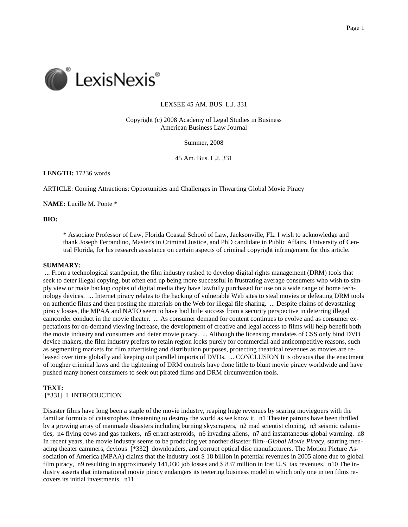

# LEXSEE 45 AM. BUS. L.J. 331

Copyright (c) 2008 Academy of Legal Studies in Business American Business Law Journal

Summer, 2008

45 Am. Bus. L.J. 331

**LENGTH:** 17236 words

ARTICLE: Coming Attractions: Opportunities and Challenges in Thwarting Global Movie Piracy

**NAME:** Lucille M. Ponte \*

# **BIO:**

\* Associate Professor of Law, Florida Coastal School of Law, Jacksonville, FL. I wish to acknowledge and thank Joseph Ferrandino, Master's in Criminal Justice, and PhD candidate in Public Affairs, University of Central Florida, for his research assistance on certain aspects of criminal copyright infringement for this article.

## **SUMMARY:**

 ... From a technological standpoint, the film industry rushed to develop digital rights management (DRM) tools that seek to deter illegal copying, but often end up being more successful in frustrating average consumers who wish to simply view or make backup copies of digital media they have lawfully purchased for use on a wide range of home technology devices. ... Internet piracy relates to the hacking of vulnerable Web sites to steal movies or defeating DRM tools on authentic films and then posting the materials on the Web for illegal file sharing. ... Despite claims of devastating piracy losses, the MPAA and NATO seem to have had little success from a security perspective in deterring illegal camcorder conduct in the movie theater. ... As consumer demand for content continues to evolve and as consumer expectations for on-demand viewing increase, the development of creative and legal access to films will help benefit both the movie industry and consumers and deter movie piracy. ... Although the licensing mandates of CSS only bind DVD device makers, the film industry prefers to retain region locks purely for commercial and anticompetitive reasons, such as segmenting markets for film advertising and distribution purposes, protecting theatrical revenues as movies are released over time globally and keeping out parallel imports of DVDs. ... CONCLUSION It is obvious that the enactment of tougher criminal laws and the tightening of DRM controls have done little to blunt movie piracy worldwide and have pushed many honest consumers to seek out pirated films and DRM circumvention tools.

#### **TEXT:**

## [\*331] I. INTRODUCTION

Disaster films have long been a staple of the movie industry, reaping huge revenues by scaring moviegoers with the familiar formula of catastrophes threatening to destroy the world as we know it. n1 Theater patrons have been thrilled by a growing array of manmade disasters including burning skyscrapers, n2 mad scientist cloning, n3 seismic calamities, n4 flying cows and gas tankers, n5 errant asteroids, n6 invading aliens, n7 and instantaneous global warming. n8 In recent years, the movie industry seems to be producing yet another disaster film--*Global Movie Piracy*, starring menacing theater cammers, devious [\*332] downloaders, and corrupt optical disc manufacturers. The Motion Picture Association of America (MPAA) claims that the industry lost \$ 18 billion in potential revenues in 2005 alone due to global film piracy, n9 resulting in approximately 141,030 job losses and \$ 837 million in lost U.S. tax revenues. n10 The industry asserts that international movie piracy endangers its teetering business model in which only one in ten films recovers its initial investments. n11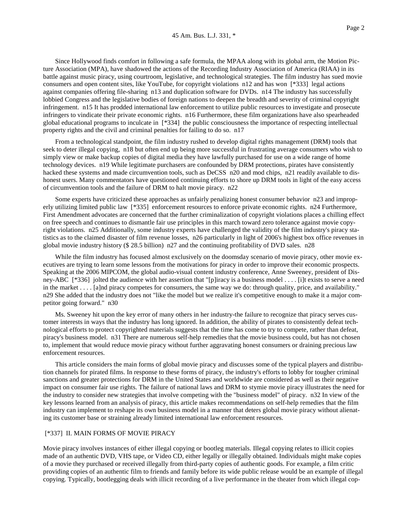Since Hollywood finds comfort in following a safe formula, the MPAA along with its global arm, the Motion Picture Association (MPA), have shadowed the actions of the Recording Industry Association of America (RIAA) in its battle against music piracy, using courtroom, legislative, and technological strategies. The film industry has sued movie consumers and open content sites, like YouTube, for copyright violations n12 and has won [\*333] legal actions against companies offering file-sharing n13 and duplication software for DVDs. n14 The industry has successfully lobbied Congress and the legislative bodies of foreign nations to deepen the breadth and severity of criminal copyright infringement. n15 It has prodded international law enforcement to utilize public resources to investigate and prosecute infringers to vindicate their private economic rights. n16 Furthermore, these film organizations have also spearheaded global educational programs to inculcate in [\*334] the public consciousness the importance of respecting intellectual property rights and the civil and criminal penalties for failing to do so. n17

From a technological standpoint, the film industry rushed to develop digital rights management (DRM) tools that seek to deter illegal copying, n18 but often end up being more successful in frustrating average consumers who wish to simply view or make backup copies of digital media they have lawfully purchased for use on a wide range of home technology devices. n19 While legitimate purchasers are confounded by DRM protections, pirates have consistently hacked these systems and made circumvention tools, such as DeCSS n20 and mod chips, n21 readily available to dishonest users. Many commentators have questioned continuing efforts to shore up DRM tools in light of the easy access of circumvention tools and the failure of DRM to halt movie piracy. n22

Some experts have criticized these approaches as unfairly penalizing honest consumer behavior n23 and improperly utilizing limited public law [\*335] enforcement resources to enforce private economic rights. n24 Furthermore, First Amendment advocates are concerned that the further criminalization of copyright violations places a chilling effect on free speech and continues to dismantle fair use principles in this march toward zero tolerance against movie copyright violations. n25 Additionally, some industry experts have challenged the validity of the film industry's piracy statistics as to the claimed disaster of film revenue losses, n26 particularly in light of 2006's highest box office revenues in global movie industry history (\$ 28.5 billion) n27 and the continuing profitability of DVD sales. n28

While the film industry has focused almost exclusively on the doomsday scenario of movie piracy, other movie executives are trying to learn some lessons from the motivations for piracy in order to improve their economic prospects. Speaking at the 2006 MIPCOM, the global audio-visual content industry conference, Anne Sweeney, president of Disney-ABC [\*336] jolted the audience with her assertion that "[p]iracy is a business model . . . . [i]t exists to serve a need in the market . . . . [a]nd piracy competes for consumers, the same way we do: through quality, price, and availability." n29 She added that the industry does not "like the model but we realize it's competitive enough to make it a major competitor going forward." n30

Ms. Sweeney hit upon the key error of many others in her industry-the failure to recognize that piracy serves customer interests in ways that the industry has long ignored. In addition, the ability of pirates to consistently defeat technological efforts to protect copyrighted materials suggests that the time has come to try to compete, rather than defeat, piracy's business model. n31 There are numerous self-help remedies that the movie business could, but has not chosen to, implement that would reduce movie piracy without further aggravating honest consumers or draining precious law enforcement resources.

This article considers the main forms of global movie piracy and discusses some of the typical players and distribution channels for pirated films. In response to these forms of piracy, the industry's efforts to lobby for tougher criminal sanctions and greater protections for DRM in the United States and worldwide are considered as well as their negative impact on consumer fair use rights. The failure of national laws and DRM to stymie movie piracy illustrates the need for the industry to consider new strategies that involve competing with the "business model" of piracy. n32 In view of the key lessons learned from an analysis of piracy, this article makes recommendations on self-help remedies that the film industry can implement to reshape its own business model in a manner that deters global movie piracy without alienating its customer base or straining already limited international law enforcement resources.

#### [\*337] II. MAIN FORMS OF MOVIE PIRACY

Movie piracy involves instances of either illegal copying or bootleg materials. Illegal copying relates to illicit copies made of an authentic DVD, VHS tape, or Video CD, either legally or illegally obtained. Individuals might make copies of a movie they purchased or received illegally from third-party copies of authentic goods. For example, a film critic providing copies of an authentic film to friends and family before its wide public release would be an example of illegal copying. Typically, bootlegging deals with illicit recording of a live performance in the theater from which illegal cop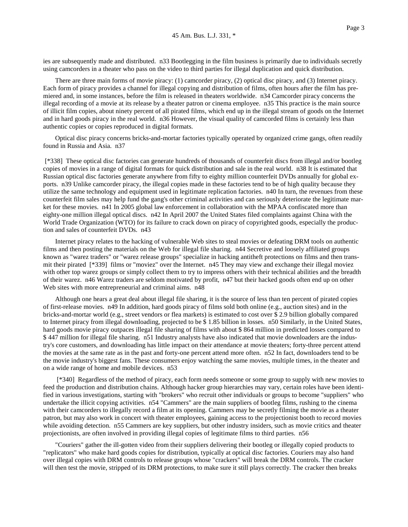ies are subsequently made and distributed. n33 Bootlegging in the film business is primarily due to individuals secretly using camcorders in a theater who pass on the video to third parties for illegal duplication and quick distribution.

There are three main forms of movie piracy: (1) camcorder piracy, (2) optical disc piracy, and (3) Internet piracy. Each form of piracy provides a channel for illegal copying and distribution of films, often hours after the film has premiered and, in some instances, before the film is released in theaters worldwide. n34 Camcorder piracy concerns the illegal recording of a movie at its release by a theater patron or cinema employee. n35 This practice is the main source of illicit film copies, about ninety percent of all pirated films, which end up in the illegal stream of goods on the Internet and in hard goods piracy in the real world. n36 However, the visual quality of camcorded films is certainly less than authentic copies or copies reproduced in digital formats.

Optical disc piracy concerns bricks-and-mortar factories typically operated by organized crime gangs, often readily found in Russia and Asia. n37

 [\*338] These optical disc factories can generate hundreds of thousands of counterfeit discs from illegal and/or bootleg copies of movies in a range of digital formats for quick distribution and sale in the real world. n38 It is estimated that Russian optical disc factories generate anywhere from fifty to eighty million counterfeit DVDs annually for global exports. n39 Unlike camcorder piracy, the illegal copies made in these factories tend to be of high quality because they utilize the same technology and equipment used in legitimate replication factories. n40 In turn, the revenues from these counterfeit film sales may help fund the gang's other criminal activities and can seriously deteriorate the legitimate market for these movies. n41 In 2005 global law enforcement in collaboration with the MPAA confiscated more than eighty-one million illegal optical discs. n42 In April 2007 the United States filed complaints against China with the World Trade Organization (WTO) for its failure to crack down on piracy of copyrighted goods, especially the production and sales of counterfeit DVDs. n43

Internet piracy relates to the hacking of vulnerable Web sites to steal movies or defeating DRM tools on authentic films and then posting the materials on the Web for illegal file sharing. n44 Secretive and loosely affiliated groups known as "warez traders" or "warez release groups" specialize in hacking antitheft protections on films and then transmit their pirated [\*339] films or "moviez" over the Internet. n45 They may view and exchange their illegal moviez with other top warez groups or simply collect them to try to impress others with their technical abilities and the breadth of their warez. n46 Warez traders are seldom motivated by profit, n47 but their hacked goods often end up on other Web sites with more entrepreneurial and criminal aims. n48

Although one hears a great deal about illegal file sharing, it is the source of less than ten percent of pirated copies of first-release movies. n49 In addition, hard goods piracy of films sold both online (e.g., auction sites) and in the bricks-and-mortar world (e.g., street vendors or flea markets) is estimated to cost over \$ 2.9 billion globally compared to Internet piracy from illegal downloading, projected to be \$ 1.85 billion in losses. n50 Similarly, in the United States, hard goods movie piracy outpaces illegal file sharing of films with about \$ 864 million in predicted losses compared to \$ 447 million for illegal file sharing. n51 Industry analysts have also indicated that movie downloaders are the industry's core customers, and downloading has little impact on their attendance at movie theaters; forty-three percent attend the movies at the same rate as in the past and forty-one percent attend more often. n52 In fact, downloaders tend to be the movie industry's biggest fans. These consumers enjoy watching the same movies, multiple times, in the theater and on a wide range of home and mobile devices. n53

 [\*340] Regardless of the method of piracy, each form needs someone or some group to supply with new movies to feed the production and distribution chains. Although hacker group hierarchies may vary, certain roles have been identified in various investigations, starting with "brokers" who recruit other individuals or groups to become "suppliers" who undertake the illicit copying activities. n54 "Cammers" are the main suppliers of bootleg films, rushing to the cinema with their camcorders to illegally record a film at its opening. Cammers may be secretly filming the movie as a theater patron, but may also work in concert with theater employees, gaining access to the projectionist booth to record movies while avoiding detection. n55 Cammers are key suppliers, but other industry insiders, such as movie critics and theater projectionists, are often involved in providing illegal copies of legitimate films to third parties. n56

"Couriers" gather the ill-gotten video from their suppliers delivering their bootleg or illegally copied products to "replicators" who make hard goods copies for distribution, typically at optical disc factories. Couriers may also hand over illegal copies with DRM controls to release groups whose "crackers" will break the DRM controls. The cracker will then test the movie, stripped of its DRM protections, to make sure it still plays correctly. The cracker then breaks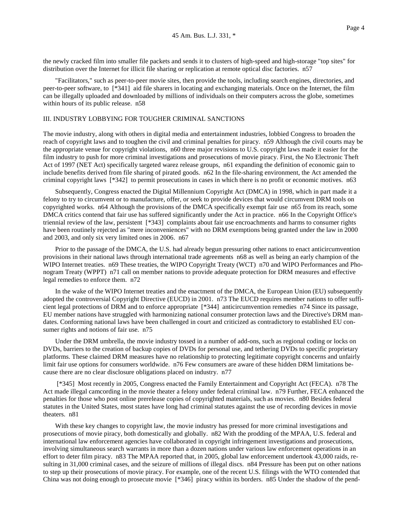the newly cracked film into smaller file packets and sends it to clusters of high-speed and high-storage "top sites" for distribution over the Internet for illicit file sharing or replication at remote optical disc factories. n57

"Facilitators," such as peer-to-peer movie sites, then provide the tools, including search engines, directories, and peer-to-peer software, to [\*341] aid file sharers in locating and exchanging materials. Once on the Internet, the film can be illegally uploaded and downloaded by millions of individuals on their computers across the globe, sometimes within hours of its public release. n58

## III. INDUSTRY LOBBYING FOR TOUGHER CRIMINAL SANCTIONS

The movie industry, along with others in digital media and entertainment industries, lobbied Congress to broaden the reach of copyright laws and to toughen the civil and criminal penalties for piracy. n59 Although the civil courts may be the appropriate venue for copyright violations, n60 three major revisions to U.S. copyright laws made it easier for the film industry to push for more criminal investigations and prosecutions of movie piracy. First, the No Electronic Theft Act of 1997 (NET Act) specifically targeted warez release groups, n61 expanding the definition of economic gain to include benefits derived from file sharing of pirated goods. n62 In the file-sharing environment, the Act amended the criminal copyright laws [\*342] to permit prosecutions in cases in which there is no profit or economic motives. n63

Subsequently, Congress enacted the Digital Millennium Copyright Act (DMCA) in 1998, which in part made it a felony to try to circumvent or to manufacture, offer, or seek to provide devices that would circumvent DRM tools on copyrighted works. n64 Although the provisions of the DMCA specifically exempt fair use n65 from its reach, some DMCA critics contend that fair use has suffered significantly under the Act in practice. n66 In the Copyright Office's triennial review of the law, persistent [\*343] complaints about fair use encroachments and harms to consumer rights have been routinely rejected as "mere inconveniences" with no DRM exemptions being granted under the law in 2000 and 2003, and only six very limited ones in 2006. n67

Prior to the passage of the DMCA, the U.S. had already begun pressuring other nations to enact anticircumvention provisions in their national laws through international trade agreements n68 as well as being an early champion of the WIPO Internet treaties. n69 These treaties, the WIPO Copyright Treaty (WCT) n70 and WIPO Performances and Phonogram Treaty (WPPT) n71 call on member nations to provide adequate protection for DRM measures and effective legal remedies to enforce them. n72

In the wake of the WIPO Internet treaties and the enactment of the DMCA, the European Union (EU) subsequently adopted the controversial Copyright Directive (EUCD) in 2001. n73 The EUCD requires member nations to offer sufficient legal protections of DRM and to enforce appropriate [\*344] anticircumvention remedies n74 Since its passage, EU member nations have struggled with harmonizing national consumer protection laws and the Directive's DRM mandates. Conforming national laws have been challenged in court and criticized as contradictory to established EU consumer rights and notions of fair use. n75

Under the DRM umbrella, the movie industry tossed in a number of add-ons, such as regional coding or locks on DVDs, barriers to the creation of backup copies of DVDs for personal use, and tethering DVDs to specific proprietary platforms. These claimed DRM measures have no relationship to protecting legitimate copyright concerns and unfairly limit fair use options for consumers worldwide. n76 Few consumers are aware of these hidden DRM limitations because there are no clear disclosure obligations placed on industry. n77

 [\*345] Most recently in 2005, Congress enacted the Family Entertainment and Copyright Act (FECA). n78 The Act made illegal camcording in the movie theater a felony under federal criminal law. n79 Further, FECA enhanced the penalties for those who post online prerelease copies of copyrighted materials, such as movies. n80 Besides federal statutes in the United States, most states have long had criminal statutes against the use of recording devices in movie theaters. n81

With these key changes to copyright law, the movie industry has pressed for more criminal investigations and prosecutions of movie piracy, both domestically and globally. n82 With the prodding of the MPAA, U.S. federal and international law enforcement agencies have collaborated in copyright infringement investigations and prosecutions, involving simultaneous search warrants in more than a dozen nations under various law enforcement operations in an effort to deter film piracy. n83 The MPAA reported that, in 2005, global law enforcement undertook 43,000 raids, resulting in 31,000 criminal cases, and the seizure of millions of illegal discs. n84 Pressure has been put on other nations to step up their prosecutions of movie piracy. For example, one of the recent U.S. filings with the WTO contended that China was not doing enough to prosecute movie [\*346] piracy within its borders. n85 Under the shadow of the pend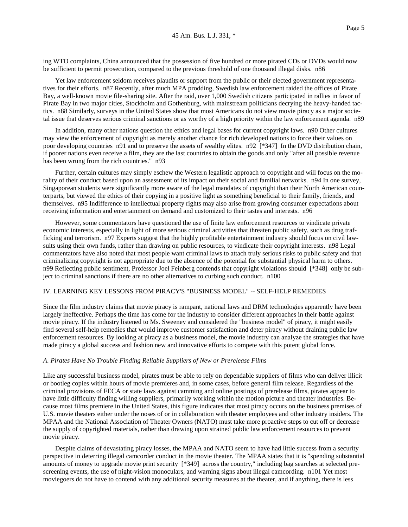ing WTO complaints, China announced that the possession of five hundred or more pirated CDs or DVDs would now be sufficient to permit prosecution, compared to the previous threshold of one thousand illegal disks. n86

Yet law enforcement seldom receives plaudits or support from the public or their elected government representatives for their efforts. n87 Recently, after much MPA prodding, Swedish law enforcement raided the offices of Pirate Bay, a well-known movie file-sharing site. After the raid, over 1,000 Swedish citizens participated in rallies in favor of Pirate Bay in two major cities, Stockholm and Gothenburg, with mainstream politicians decrying the heavy-handed tactics. n88 Similarly, surveys in the United States show that most Americans do not view movie piracy as a major societal issue that deserves serious criminal sanctions or as worthy of a high priority within the law enforcement agenda. n89

In addition, many other nations question the ethics and legal bases for current copyright laws. n90 Other cultures may view the enforcement of copyright as merely another chance for rich developed nations to force their values on poor developing countries n91 and to preserve the assets of wealthy elites. n92 [\*347] In the DVD distribution chain, if poorer nations even receive a film, they are the last countries to obtain the goods and only "after all possible revenue has been wrung from the rich countries." n93

Further, certain cultures may simply eschew the Western legalistic approach to copyright and will focus on the morality of their conduct based upon an assessment of its impact on their social and familial networks. n94 In one survey, Singaporean students were significantly more aware of the legal mandates of copyright than their North American counterparts, but viewed the ethics of their copying in a positive light as something beneficial to their family, friends, and themselves. n95 Indifference to intellectual property rights may also arise from growing consumer expectations about receiving information and entertainment on demand and customized to their tastes and interests. n96

However, some commentators have questioned the use of finite law enforcement resources to vindicate private economic interests, especially in light of more serious criminal activities that threaten public safety, such as drug trafficking and terrorism. n97 Experts suggest that the highly profitable entertainment industry should focus on civil lawsuits using their own funds, rather than drawing on public resources, to vindicate their copyright interests. n98 Legal commentators have also noted that most people want criminal laws to attach truly serious risks to public safety and that criminalizing copyright is not appropriate due to the absence of the potential for substantial physical harm to others. n99 Reflecting public sentiment, Professor Joel Feinberg contends that copyright violations should [\*348] only be subject to criminal sanctions if there are no other alternatives to curbing such conduct. n100

#### IV. LEARNING KEY LESSONS FROM PIRACY'S "BUSINESS MODEL" -- SELF-HELP REMEDIES

Since the film industry claims that movie piracy is rampant, national laws and DRM technologies apparently have been largely ineffective. Perhaps the time has come for the industry to consider different approaches in their battle against movie piracy. If the industry listened to Ms. Sweeney and considered the "business model" of piracy, it might easily find several self-help remedies that would improve customer satisfaction and deter piracy without draining public law enforcement resources. By looking at piracy as a business model, the movie industry can analyze the strategies that have made piracy a global success and fashion new and innovative efforts to compete with this potent global force.

## *A. Pirates Have No Trouble Finding Reliable Suppliers of New or Prerelease Films*

Like any successful business model, pirates must be able to rely on dependable suppliers of films who can deliver illicit or bootleg copies within hours of movie premieres and, in some cases, before general film release. Regardless of the criminal provisions of FECA or state laws against camming and online postings of prerelease films, pirates appear to have little difficulty finding willing suppliers, primarily working within the motion picture and theater industries. Because most films premiere in the United States, this figure indicates that most piracy occurs on the business premises of U.S. movie theaters either under the noses of or in collaboration with theater employees and other industry insiders. The MPAA and the National Association of Theater Owners (NATO) must take more proactive steps to cut off or decrease the supply of copyrighted materials, rather than drawing upon strained public law enforcement resources to prevent movie piracy.

Despite claims of devastating piracy losses, the MPAA and NATO seem to have had little success from a security perspective in deterring illegal camcorder conduct in the movie theater. The MPAA states that it is "spending substantial amounts of money to upgrade movie print security [\*349] across the country," including bag searches at selected prescreening events, the use of night-vision monoculars, and warning signs about illegal camcording. n101 Yet most moviegoers do not have to contend with any additional security measures at the theater, and if anything, there is less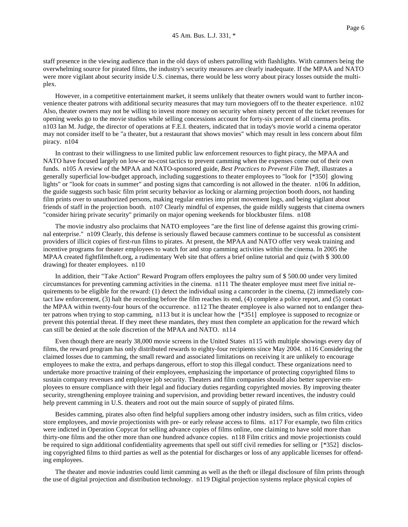staff presence in the viewing audience than in the old days of ushers patrolling with flashlights. With cammers being the overwhelming source for pirated films, the industry's security measures are clearly inadequate. If the MPAA and NATO were more vigilant about security inside U.S. cinemas, there would be less worry about piracy losses outside the multiplex.

However, in a competitive entertainment market, it seems unlikely that theater owners would want to further inconvenience theater patrons with additional security measures that may turn moviegoers off to the theater experience. n102 Also, theater owners may not be willing to invest more money on security when ninety percent of the ticket revenues for opening weeks go to the movie studios while selling concessions account for forty-six percent of all cinema profits. n103 Ian M. Judge, the director of operations at F.E.I. theaters, indicated that in today's movie world a cinema operator may not consider itself to be "a theater, but a restaurant that shows movies" which may result in less concern about film piracy. n104

In contrast to their willingness to use limited public law enforcement resources to fight piracy, the MPAA and NATO have focused largely on low-or no-cost tactics to prevent camming when the expenses come out of their own funds. n105 A review of the MPAA and NATO-sponsored guide, *Best Practices to Prevent Film Theft*, illustrates a generally superficial low-budget approach, including suggestions to theater employees to "look for [\*350] glowing lights" or "look for coats in summer" and posting signs that camcording is not allowed in the theater. n106 In addition, the guide suggests such basic film print security behavior as locking or alarming projection booth doors, not handing film prints over to unauthorized persons, making regular entries into print movement logs, and being vigilant about friends of staff in the projection booth. n107 Clearly mindful of expenses, the guide mildly suggests that cinema owners "consider hiring private security" primarily on major opening weekends for blockbuster films. n108

The movie industry also proclaims that NATO employees "are the first line of defense against this growing criminal enterprise." n109 Clearly, this defense is seriously flawed because cammers continue to be successful as consistent providers of illicit copies of first-run films to pirates. At present, the MPAA and NATO offer very weak training and incentive programs for theater employees to watch for and stop camming activities within the cinema. In 2005 the MPAA created fightfilmtheft.org, a rudimentary Web site that offers a brief online tutorial and quiz (with \$ 300.00 drawing) for theater employees. n110

In addition, their "Take Action" Reward Program offers employees the paltry sum of \$ 500.00 under very limited circumstances for preventing camming activities in the cinema. n111 The theater employee must meet five initial requirements to be eligible for the reward: (1) detect the individual using a camcorder in the cinema, (2) immediately contact law enforcement, (3) halt the recording before the film reaches its end, (4) complete a police report, and (5) contact the MPAA within twenty-four hours of the occurrence. n112 The theater employee is also warned not to endanger theater patrons when trying to stop camming, n113 but it is unclear how the [\*351] employee is supposed to recognize or prevent this potential threat. If they meet these mandates, they must then complete an application for the reward which can still be denied at the sole discretion of the MPAA and NATO. n114

Even though there are nearly 38,000 movie screens in the United States n115 with multiple showings every day of films, the reward program has only distributed rewards to eighty-four recipients since May 2004. n116 Considering the claimed losses due to camming, the small reward and associated limitations on receiving it are unlikely to encourage employees to make the extra, and perhaps dangerous, effort to stop this illegal conduct. These organizations need to undertake more proactive training of their employees, emphasizing the importance of protecting copyrighted films to sustain company revenues and employee job security. Theaters and film companies should also better supervise employees to ensure compliance with their legal and fiduciary duties regarding copyrighted movies. By improving theater security, strengthening employee training and supervision, and providing better reward incentives, the industry could help prevent camming in U.S. theaters and root out the main source of supply of pirated films.

Besides camming, pirates also often find helpful suppliers among other industry insiders, such as film critics, video store employees, and movie projectionists with pre- or early release access to films. n117 For example, two film critics were indicted in Operation Copycat for selling advance copies of films online, one claiming to have sold more than thirty-one films and the other more than one hundred advance copies. n118 Film critics and movie projectionists could be required to sign additional confidentiality agreements that spell out stiff civil remedies for selling or [\*352] disclosing copyrighted films to third parties as well as the potential for discharges or loss of any applicable licenses for offending employees.

The theater and movie industries could limit camming as well as the theft or illegal disclosure of film prints through the use of digital projection and distribution technology. n119 Digital projection systems replace physical copies of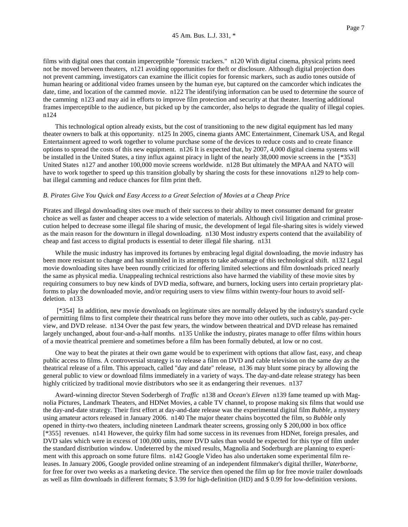films with digital ones that contain imperceptible "forensic trackers." n120 With digital cinema, physical prints need not be moved between theaters, n121 avoiding opportunities for theft or disclosure. Although digital projection does not prevent camming, investigators can examine the illicit copies for forensic markers, such as audio tones outside of human hearing or additional video frames unseen by the human eye, but captured on the camcorder which indicates the date, time, and location of the cammed movie. n122 The identifying information can be used to determine the source of the camming n123 and may aid in efforts to improve film protection and security at that theater. Inserting additional frames imperceptible to the audience, but picked up by the camcorder, also helps to degrade the quality of illegal copies. n124

This technological option already exists, but the cost of transitioning to the new digital equipment has led many theater owners to balk at this opportunity. n125 In 2005, cinema giants AMC Entertainment, Cinemark USA, and Regal Entertainment agreed to work together to volume purchase some of the devices to reduce costs and to create finance options to spread the costs of this new equipment. n126 It is expected that, by 2007, 4,000 digital cinema systems will be installed in the United States, a tiny influx against piracy in light of the nearly 38,000 movie screens in the [\*353] United States n127 and another 100,000 movie screens worldwide. n128 But ultimately the MPAA and NATO will have to work together to speed up this transition globally by sharing the costs for these innovations n129 to help combat illegal camming and reduce chances for film print theft.

#### *B. Pirates Give You Quick and Easy Access to a Great Selection of Movies at a Cheap Price*

Pirates and illegal downloading sites owe much of their success to their ability to meet consumer demand for greater choice as well as faster and cheaper access to a wide selection of materials. Although civil litigation and criminal prosecution helped to decrease some illegal file sharing of music, the development of legal file-sharing sites is widely viewed as the main reason for the downturn in illegal downloading. n130 Most industry experts contend that the availability of cheap and fast access to digital products is essential to deter illegal file sharing. n131

While the music industry has improved its fortunes by embracing legal digital downloading, the movie industry has been more resistant to change and has stumbled in its attempts to take advantage of this technological shift. n132 Legal movie downloading sites have been roundly criticized for offering limited selections and film downloads priced nearly the same as physical media. Unappealing technical restrictions also have harmed the viability of these movie sites by requiring consumers to buy new kinds of DVD media, software, and burners, locking users into certain proprietary platforms to play the downloaded movie, and/or requiring users to view films within twenty-four hours to avoid selfdeletion. n133

 [\*354] In addition, new movie downloads on legitimate sites are normally delayed by the industry's standard cycle of permitting films to first complete their theatrical runs before they move into other outlets, such as cable, pay-perview, and DVD release. n134 Over the past few years, the window between theatrical and DVD release has remained largely unchanged, about four-and-a-half months. n135 Unlike the industry, pirates manage to offer films within hours of a movie theatrical premiere and sometimes before a film has been formally debuted, at low or no cost.

One way to beat the pirates at their own game would be to experiment with options that allow fast, easy, and cheap public access to films. A controversial strategy is to release a film on DVD and cable television on the same day as the theatrical release of a film. This approach, called "day and date" release, n136 may blunt some piracy by allowing the general public to view or download films immediately in a variety of ways. The day-and-date release strategy has been highly criticized by traditional movie distributors who see it as endangering their revenues. n137

Award-winning director Steven Soderbergh of *Traffic* n138 and *Ocean's Eleven* n139 fame teamed up with Magnolia Pictures, Landmark Theaters, and HDNet Movies, a cable TV channel, to propose making six films that would use the day-and-date strategy. Their first effort at day-and-date release was the experimental digital film *Bubble*, a mystery using amateur actors released in January 2006. n140 The major theater chains boycotted the film, so *Bubble* only opened in thirty-two theaters, including nineteen Landmark theater screens, grossing only \$ 200,000 in box office [\*355] revenues. n141 However, the quirky film had some success in its revenues from HDNet, foreign presales, and DVD sales which were in excess of 100,000 units, more DVD sales than would be expected for this type of film under the standard distribution window. Undeterred by the mixed results, Magnolia and Soderburgh are planning to experiment with this approach on some future films. n142 Google Video has also undertaken some experimental film releases. In January 2006, Google provided online streaming of an independent filmmaker's digital thriller, *Waterborne*, for free for over two weeks as a marketing device. The service then opened the film up for free movie trailer downloads as well as film downloads in different formats; \$ 3.99 for high-definition (HD) and \$ 0.99 for low-definition versions.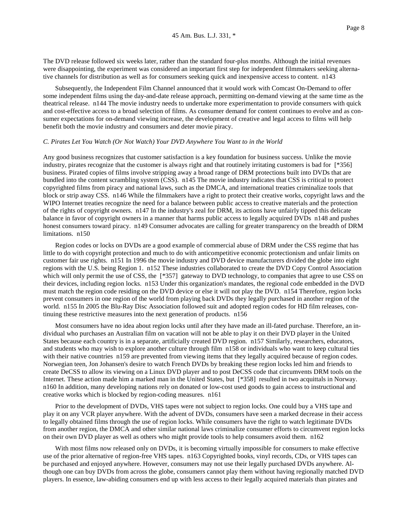The DVD release followed six weeks later, rather than the standard four-plus months. Although the initial revenues were disappointing, the experiment was considered an important first step for independent filmmakers seeking alternative channels for distribution as well as for consumers seeking quick and inexpensive access to content. n143

Subsequently, the Independent Film Channel announced that it would work with Comcast On-Demand to offer some independent films using the day-and-date release approach, permitting on-demand viewing at the same time as the theatrical release. n144 The movie industry needs to undertake more experimentation to provide consumers with quick and cost-effective access to a broad selection of films. As consumer demand for content continues to evolve and as consumer expectations for on-demand viewing increase, the development of creative and legal access to films will help benefit both the movie industry and consumers and deter movie piracy.

#### *C. Pirates Let You Watch (Or Not Watch) Your DVD Anywhere You Want to in the World*

Any good business recognizes that customer satisfaction is a key foundation for business success. Unlike the movie industry, pirates recognize that the customer is always right and that routinely irritating customers is bad for [\*356] business. Pirated copies of films involve stripping away a broad range of DRM protections built into DVDs that are bundled into the content scrambling system (CSS). n145 The movie industry indicates that CSS is critical to protect copyrighted films from piracy and national laws, such as the DMCA, and international treaties criminalize tools that block or strip away CSS. n146 While the filmmakers have a right to protect their creative works, copyright laws and the WIPO Internet treaties recognize the need for a balance between public access to creative materials and the protection of the rights of copyright owners. n147 In the industry's zeal for DRM, its actions have unfairly tipped this delicate balance in favor of copyright owners in a manner that harms public access to legally acquired DVDs n148 and pushes honest consumers toward piracy. n149 Consumer advocates are calling for greater transparency on the breadth of DRM limitations. n150

Region codes or locks on DVDs are a good example of commercial abuse of DRM under the CSS regime that has little to do with copyright protection and much to do with anticompetitive economic protectionism and unfair limits on customer fair use rights. n151 In 1996 the movie industry and DVD device manufacturers divided the globe into eight regions with the U.S. being Region 1. n152 These industries collaborated to create the DVD Copy Control Association which will only permit the use of CSS, the [\*357] gateway to DVD technology, to companies that agree to use CSS on their devices, including region locks. n153 Under this organization's mandates, the regional code embedded in the DVD must match the region code residing on the DVD device or else it will not play the DVD. n154 Therefore, region locks prevent consumers in one region of the world from playing back DVDs they legally purchased in another region of the world. n155 In 2005 the Blu-Ray Disc Association followed suit and adopted region codes for HD film releases, continuing these restrictive measures into the next generation of products. n156

Most consumers have no idea about region locks until after they have made an ill-fated purchase. Therefore, an individual who purchases an Australian film on vacation will not be able to play it on their DVD player in the United States because each country is in a separate, artificially created DVD region. n157 Similarly, researchers, educators, and students who may wish to explore another culture through film n158 or individuals who want to keep cultural ties with their native countries n159 are prevented from viewing items that they legally acquired because of region codes. Norwegian teen, Jon Johansen's desire to watch French DVDs by breaking these region locks led him and friends to create DeCSS to allow its viewing on a Linux DVD player and to post DeCSS code that circumvents DRM tools on the Internet. These action made him a marked man in the United States, but [\*358] resulted in two acquittals in Norway. n160 In addition, many developing nations rely on donated or low-cost used goods to gain access to instructional and creative works which is blocked by region-coding measures. n161

Prior to the development of DVDs, VHS tapes were not subject to region locks. One could buy a VHS tape and play it on any VCR player anywhere. With the advent of DVDs, consumers have seen a marked decrease in their access to legally obtained films through the use of region locks. While consumers have the right to watch legitimate DVDs from another region, the DMCA and other similar national laws criminalize consumer efforts to circumvent region locks on their own DVD player as well as others who might provide tools to help consumers avoid them. n162

With most films now released only on DVDs, it is becoming virtually impossible for consumers to make effective use of the prior alternative of region-free VHS tapes. n163 Copyrighted books, vinyl records, CDs, or VHS tapes can be purchased and enjoyed anywhere. However, consumers may not use their legally purchased DVDs anywhere. Although one can buy DVDs from across the globe, consumers cannot play them without having regionally matched DVD players. In essence, law-abiding consumers end up with less access to their legally acquired materials than pirates and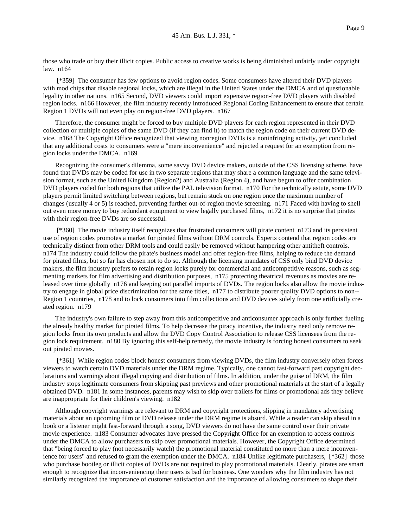those who trade or buy their illicit copies. Public access to creative works is being diminished unfairly under copyright law. n164

 [\*359] The consumer has few options to avoid region codes. Some consumers have altered their DVD players with mod chips that disable regional locks, which are illegal in the United States under the DMCA and of questionable legality in other nations. n165 Second, DVD viewers could import expensive region-free DVD players with disabled region locks. n166 However, the film industry recently introduced Regional Coding Enhancement to ensure that certain Region 1 DVDs will not even play on region-free DVD players. n167

Therefore, the consumer might be forced to buy multiple DVD players for each region represented in their DVD collection or multiple copies of the same DVD (if they can find it) to match the region code on their current DVD device. n168 The Copyright Office recognized that viewing nonregion DVDs is a noninfringing activity, yet concluded that any additional costs to consumers were a "mere inconvenience" and rejected a request for an exemption from region locks under the DMCA. n169

Recognizing the consumer's dilemma, some savvy DVD device makers, outside of the CSS licensing scheme, have found that DVDs may be coded for use in two separate regions that may share a common language and the same television format, such as the United Kingdom (Region2) and Australia (Region 4), and have begun to offer combination DVD players coded for both regions that utilize the PAL television format. n170 For the technically astute, some DVD players permit limited switching between regions, but remain stuck on one region once the maximum number of changes (usually 4 or 5) is reached, preventing further out-of-region movie screening. n171 Faced with having to shell out even more money to buy redundant equipment to view legally purchased films, n172 it is no surprise that pirates with their region-free DVDs are so successful.

 [\*360] The movie industry itself recognizes that frustrated consumers will pirate content n173 and its persistent use of region codes promotes a market for pirated films without DRM controls. Experts contend that region codes are technically distinct from other DRM tools and could easily be removed without hampering other antitheft controls. n174 The industry could follow the pirate's business model and offer region-free films, helping to reduce the demand for pirated films, but so far has chosen not to do so. Although the licensing mandates of CSS only bind DVD device makers, the film industry prefers to retain region locks purely for commercial and anticompetitive reasons, such as segmenting markets for film advertising and distribution purposes, n175 protecting theatrical revenues as movies are released over time globally n176 and keeping out parallel imports of DVDs. The region locks also allow the movie industry to engage in global price discrimination for the same titles, n177 to distribute poorer quality DVD options to non-- Region 1 countries, n178 and to lock consumers into film collections and DVD devices solely from one artificially created region. n179

The industry's own failure to step away from this anticompetitive and anticonsumer approach is only further fueling the already healthy market for pirated films. To help decrease the piracy incentive, the industry need only remove region locks from its own products and allow the DVD Copy Control Association to release CSS licensees from the region lock requirement. n180 By ignoring this self-help remedy, the movie industry is forcing honest consumers to seek out pirated movies.

 [\*361] While region codes block honest consumers from viewing DVDs, the film industry conversely often forces viewers to watch certain DVD materials under the DRM regime. Typically, one cannot fast-forward past copyright declarations and warnings about illegal copying and distribution of films. In addition, under the guise of DRM, the film industry stops legitimate consumers from skipping past previews and other promotional materials at the start of a legally obtained DVD. n181 In some instances, parents may wish to skip over trailers for films or promotional ads they believe are inappropriate for their children's viewing. n182

Although copyright warnings are relevant to DRM and copyright protections, slipping in mandatory advertising materials about an upcoming film or DVD release under the DRM regime is absurd. While a reader can skip ahead in a book or a listener might fast-forward through a song, DVD viewers do not have the same control over their private movie experience. n183 Consumer advocates have pressed the Copyright Office for an exemption to access controls under the DMCA to allow purchasers to skip over promotional materials. However, the Copyright Office determined that "being forced to play (not necessarily watch) the promotional material constituted no more than a mere inconvenience for users" and refused to grant the exemption under the DMCA. n184 Unlike legitimate purchasers, [\*362] those who purchase bootleg or illicit copies of DVDs are not required to play promotional materials. Clearly, pirates are smart enough to recognize that inconveniencing their users is bad for business. One wonders why the film industry has not similarly recognized the importance of customer satisfaction and the importance of allowing consumers to shape their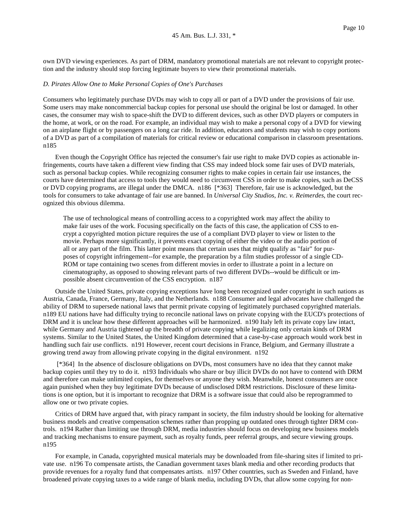own DVD viewing experiences. As part of DRM, mandatory promotional materials are not relevant to copyright protection and the industry should stop forcing legitimate buyers to view their promotional materials.

#### *D. Pirates Allow One to Make Personal Copies of One's Purchases*

Consumers who legitimately purchase DVDs may wish to copy all or part of a DVD under the provisions of fair use. Some users may make noncommercial backup copies for personal use should the original be lost or damaged. In other cases, the consumer may wish to space-shift the DVD to different devices, such as other DVD players or computers in the home, at work, or on the road. For example, an individual may wish to make a personal copy of a DVD for viewing on an airplane flight or by passengers on a long car ride. In addition, educators and students may wish to copy portions of a DVD as part of a compilation of materials for critical review or educational comparison in classroom presentations. n185

Even though the Copyright Office has rejected the consumer's fair use right to make DVD copies as actionable infringements, courts have taken a different view finding that CSS may indeed block some fair uses of DVD materials, such as personal backup copies. While recognizing consumer rights to make copies in certain fair use instances, the courts have determined that access to tools they would need to circumvent CSS in order to make copies, such as DeCSS or DVD copying programs, are illegal under the DMCA. n186 [\*363] Therefore, fair use is acknowledged, but the tools for consumers to take advantage of fair use are banned. In *Universal City Studios, Inc. v. Reimerdes*, the court recognized this obvious dilemma.

The use of technological means of controlling access to a copyrighted work may affect the ability to make fair uses of the work. Focusing specifically on the facts of this case, the application of CSS to encrypt a copyrighted motion picture requires the use of a compliant DVD player to view or listen to the movie. Perhaps more significantly, it prevents exact copying of either the video or the audio portion of all or any part of the film. This latter point means that certain uses that might qualify as "fair" for purposes of copyright infringement--for example, the preparation by a film studies professor of a single CD-ROM or tape containing two scenes from different movies in order to illustrate a point in a lecture on cinematography, as opposed to showing relevant parts of two different DVDs--would be difficult or impossible absent circumvention of the CSS encryption. n187

Outside the United States, private copying exceptions have long been recognized under copyright in such nations as Austria, Canada, France, Germany, Italy, and the Netherlands. n188 Consumer and legal advocates have challenged the ability of DRM to supersede national laws that permit private copying of legitimately purchased copyrighted materials. n189 EU nations have had difficulty trying to reconcile national laws on private copying with the EUCD's protections of DRM and it is unclear how these different approaches will be harmonized. n190 Italy left its private copy law intact, while Germany and Austria tightened up the breadth of private copying while legalizing only certain kinds of DRM systems. Similar to the United States, the United Kingdom determined that a case-by-case approach would work best in handling such fair use conflicts. n191 However, recent court decisions in France, Belgium, and Germany illustrate a growing trend away from allowing private copying in the digital environment. n192

 [\*364] In the absence of disclosure obligations on DVDs, most consumers have no idea that they cannot make backup copies until they try to do it. n193 Individuals who share or buy illicit DVDs do not have to contend with DRM and therefore can make unlimited copies, for themselves or anyone they wish. Meanwhile, honest consumers are once again punished when they buy legitimate DVDs because of undisclosed DRM restrictions. Disclosure of these limitations is one option, but it is important to recognize that DRM is a software issue that could also be reprogrammed to allow one or two private copies.

Critics of DRM have argued that, with piracy rampant in society, the film industry should be looking for alternative business models and creative compensation schemes rather than propping up outdated ones through tighter DRM controls. n194 Rather than limiting use through DRM, media industries should focus on developing new business models and tracking mechanisms to ensure payment, such as royalty funds, peer referral groups, and secure viewing groups. n195

For example, in Canada, copyrighted musical materials may be downloaded from file-sharing sites if limited to private use. n196 To compensate artists, the Canadian government taxes blank media and other recording products that provide revenues for a royalty fund that compensates artists. n197 Other countries, such as Sweden and Finland, have broadened private copying taxes to a wide range of blank media, including DVDs, that allow some copying for non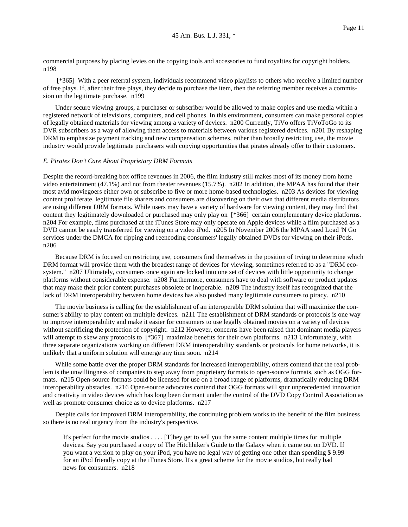commercial purposes by placing levies on the copying tools and accessories to fund royalties for copyright holders. n198

 [\*365] With a peer referral system, individuals recommend video playlists to others who receive a limited number of free plays. If, after their free plays, they decide to purchase the item, then the referring member receives a commission on the legitimate purchase. n199

Under secure viewing groups, a purchaser or subscriber would be allowed to make copies and use media within a registered network of televisions, computers, and cell phones. In this environment, consumers can make personal copies of legally obtained materials for viewing among a variety of devices. n200 Currently, TiVo offers TiVoToGo to its DVR subscribers as a way of allowing them access to materials between various registered devices. n201 By reshaping DRM to emphasize payment tracking and new compensation schemes, rather than broadly restricting use, the movie industry would provide legitimate purchasers with copying opportunities that pirates already offer to their customers.

#### *E. Pirates Don't Care About Proprietary DRM Formats*

Despite the record-breaking box office revenues in 2006, the film industry still makes most of its money from home video entertainment (47.1%) and not from theater revenues (15.7%). n202 In addition, the MPAA has found that their most avid moviegoers either own or subscribe to five or more home-based technologies. n203 As devices for viewing content proliferate, legitimate file sharers and consumers are discovering on their own that different media distributors are using different DRM formats. While users may have a variety of hardware for viewing content, they may find that content they legitimately downloaded or purchased may only play on [\*366] certain complementary device platforms. n204 For example, films purchased at the iTunes Store may only operate on Apple devices while a film purchased as a DVD cannot be easily transferred for viewing on a video iPod. n205 In November 2006 the MPAA sued Load 'N Go services under the DMCA for ripping and reencoding consumers' legally obtained DVDs for viewing on their iPods. n206

Because DRM is focused on restricting use, consumers find themselves in the position of trying to determine which DRM format will provide them with the broadest range of devices for viewing, sometimes referred to as a "DRM ecosystem." n207 Ultimately, consumers once again are locked into one set of devices with little opportunity to change platforms without considerable expense. n208 Furthermore, consumers have to deal with software or product updates that may make their prior content purchases obsolete or inoperable. n209 The industry itself has recognized that the lack of DRM interoperability between home devices has also pushed many legitimate consumers to piracy. n210

The movie business is calling for the establishment of an interoperable DRM solution that will maximize the consumer's ability to play content on multiple devices. n211 The establishment of DRM standards or protocols is one way to improve interoperability and make it easier for consumers to use legally obtained movies on a variety of devices without sacrificing the protection of copyright. n212 However, concerns have been raised that dominant media players will attempt to skew any protocols to [\*367] maximize benefits for their own platforms. n213 Unfortunately, with three separate organizations working on different DRM interoperability standards or protocols for home networks, it is unlikely that a uniform solution will emerge any time soon. n214

While some battle over the proper DRM standards for increased interoperability, others contend that the real problem is the unwillingness of companies to step away from proprietary formats to open-source formats, such as OGG formats. n215 Open-source formats could be licensed for use on a broad range of platforms, dramatically reducing DRM interoperability obstacles. n216 Open-source advocates contend that OGG formats will spur unprecedented innovation and creativity in video devices which has long been dormant under the control of the DVD Copy Control Association as well as promote consumer choice as to device platforms. n217

Despite calls for improved DRM interoperability, the continuing problem works to the benefit of the film business so there is no real urgency from the industry's perspective.

It's perfect for the movie studios . . . . [T]hey get to sell you the same content multiple times for multiple devices. Say you purchased a copy of The Hitchhiker's Guide to the Galaxy when it came out on DVD. If you want a version to play on your iPod, you have no legal way of getting one other than spending \$ 9.99 for an iPod friendly copy at the iTunes Store. It's a great scheme for the movie studios, but really bad news for consumers. n218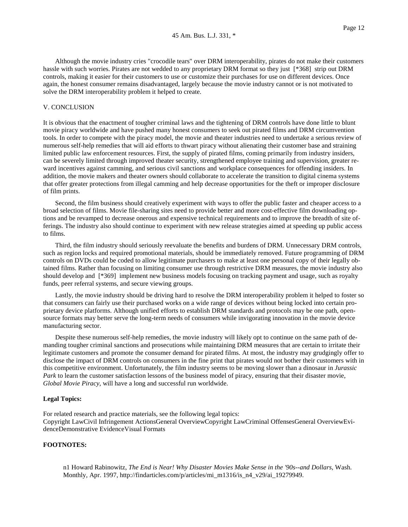Although the movie industry cries "crocodile tears" over DRM interoperability, pirates do not make their customers hassle with such worries. Pirates are not wedded to any proprietary DRM format so they just [\*368] strip out DRM controls, making it easier for their customers to use or customize their purchases for use on different devices. Once again, the honest consumer remains disadvantaged, largely because the movie industry cannot or is not motivated to solve the DRM interoperability problem it helped to create.

## V. CONCLUSION

It is obvious that the enactment of tougher criminal laws and the tightening of DRM controls have done little to blunt movie piracy worldwide and have pushed many honest consumers to seek out pirated films and DRM circumvention tools. In order to compete with the piracy model, the movie and theater industries need to undertake a serious review of numerous self-help remedies that will aid efforts to thwart piracy without alienating their customer base and straining limited public law enforcement resources. First, the supply of pirated films, coming primarily from industry insiders, can be severely limited through improved theater security, strengthened employee training and supervision, greater reward incentives against camming, and serious civil sanctions and workplace consequences for offending insiders. In addition, the movie makers and theater owners should collaborate to accelerate the transition to digital cinema systems that offer greater protections from illegal camming and help decrease opportunities for the theft or improper disclosure of film prints.

Second, the film business should creatively experiment with ways to offer the public faster and cheaper access to a broad selection of films. Movie file-sharing sites need to provide better and more cost-effective film downloading options and be revamped to decrease onerous and expensive technical requirements and to improve the breadth of site offerings. The industry also should continue to experiment with new release strategies aimed at speeding up public access to films.

Third, the film industry should seriously reevaluate the benefits and burdens of DRM. Unnecessary DRM controls, such as region locks and required promotional materials, should be immediately removed. Future programming of DRM controls on DVDs could be coded to allow legitimate purchasers to make at least one personal copy of their legally obtained films. Rather than focusing on limiting consumer use through restrictive DRM measures, the movie industry also should develop and [\*369] implement new business models focusing on tracking payment and usage, such as royalty funds, peer referral systems, and secure viewing groups.

Lastly, the movie industry should be driving hard to resolve the DRM interoperability problem it helped to foster so that consumers can fairly use their purchased works on a wide range of devices without being locked into certain proprietary device platforms. Although unified efforts to establish DRM standards and protocols may be one path, opensource formats may better serve the long-term needs of consumers while invigorating innovation in the movie device manufacturing sector.

Despite these numerous self-help remedies, the movie industry will likely opt to continue on the same path of demanding tougher criminal sanctions and prosecutions while maintaining DRM measures that are certain to irritate their legitimate customers and promote the consumer demand for pirated films. At most, the industry may grudgingly offer to disclose the impact of DRM controls on consumers in the fine print that pirates would not bother their customers with in this competitive environment. Unfortunately, the film industry seems to be moving slower than a dinosaur in *Jurassic Park* to learn the customer satisfaction lessons of the business model of piracy, ensuring that their disaster movie, *Global Movie Piracy*, will have a long and successful run worldwide.

#### **Legal Topics:**

For related research and practice materials, see the following legal topics: Copyright LawCivil Infringement ActionsGeneral OverviewCopyright LawCriminal OffensesGeneral OverviewEvidenceDemonstrative EvidenceVisual Formats

# **FOOTNOTES:**

n1 Howard Rabinowitz, *The End is Near! Why Disaster Movies Make Sense in the '90s--and Dollars*, Wash. Monthly, Apr. 1997, http://findarticles.com/p/articles/mi\_m1316/is\_n4\_v29/ai\_19279949.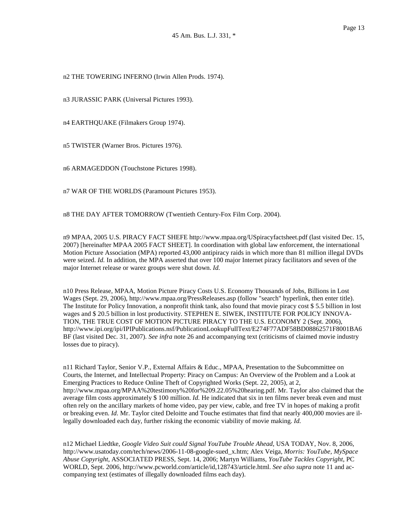n2 THE TOWERING INFERNO (Irwin Allen Prods. 1974).

n3 JURASSIC PARK (Universal Pictures 1993).

n4 EARTHQUAKE (Filmakers Group 1974).

n5 TWISTER (Warner Bros. Pictures 1976).

n6 ARMAGEDDON (Touchstone Pictures 1998).

n7 WAR OF THE WORLDS (Paramount Pictures 1953).

n8 THE DAY AFTER TOMORROW (Twentieth Century-Fox Film Corp. 2004).

n9 MPAA, 2005 U.S. PIRACY FACT SHEFE http://www.mpaa.org/USpiracyfactsheet.pdf (last visited Dec. 15, 2007) [hereinafter MPAA 2005 FACT SHEET]. In coordination with global law enforcement, the international Motion Picture Association (MPA) reported 43,000 antipiracy raids in which more than 81 million illegal DVDs were seized. *Id.* In addition, the MPA asserted that over 100 major Internet piracy facilitators and seven of the major Internet release or warez groups were shut down. *Id.*

n10 Press Release, MPAA, Motion Picture Piracy Costs U.S. Economy Thousands of Jobs, Billions in Lost Wages (Sept. 29, 2006), http://www.mpaa.org/PressReleases.asp (follow "search" hyperlink, then enter title). The Institute for Policy Innovation, a nonprofit think tank, also found that movie piracy cost \$ 5.5 billion in lost wages and \$ 20.5 billion in lost productivity. STEPHEN E. SIWEK, INSTITUTE FOR POLICY INNOVA-TION, THE TRUE COST OF MOTION PICTURE PIRACY TO THE U.S. ECONOMY 2 (Sept. 2006), http://www.ipi.org/ipi/IPIPublications.nsf/PublicationLookupFullText/E274F77ADF58BD08862571F8001BA6 BF (last visited Dec. 31, 2007). *See infra* note 26 and accompanying text (criticisms of claimed movie industry losses due to piracy).

n11 Richard Taylor, Senior V.P., External Affairs & Educ., MPAA, Presentation to the Subcommittee on Courts, the Internet, and Intellectual Property: Piracy on Campus: An Overview of the Problem and a Look at Emerging Practices to Reduce Online Theft of Copyrighted Works (Sept. 22, 2005), at 2, http://www.mpaa.org/MPAA%20testimony%20for%209.22.05%20hearing.pdf. Mr. Taylor also claimed that the average film costs approximately \$ 100 million. *Id.* He indicated that six in ten films never break even and must often rely on the ancillary markets of home video, pay per view, cable, and free TV in hopes of making a profit or breaking even. *Id.* Mr. Taylor cited Deloitte and Touche estimates that find that nearly 400,000 movies are illegally downloaded each day, further risking the economic viability of movie making. *Id.*

n12 Michael Liedtke, *Google Video Suit could Signal YouTube Trouble Ahead*, USA TODAY, Nov. 8, 2006, http://www.usatoday.com/tech/news/2006-11-08-google-sued\_x.htm; Alex Veiga, *Morris: YouTube, MySpace Abuse Copyright*, ASSOCIATED PRESS, Sept. 14, 2006; Martyn Williams, *YouTube Tackles Copyright*, PC WORLD, Sept. 2006, http://www.pcworld.com/article/id,128743/article.html. *See also supra* note 11 and accompanying text (estimates of illegally downloaded films each day).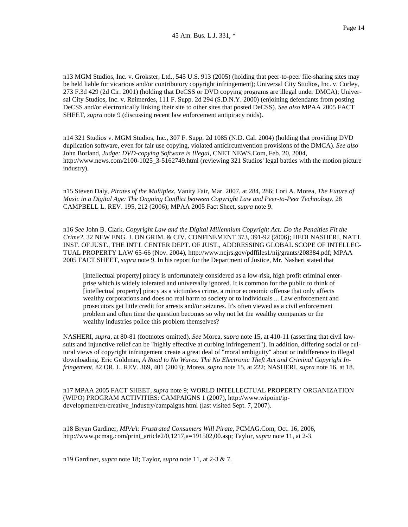n13 MGM Studios, Inc. v. Grokster, Ltd., 545 U.S. 913 (2005) (holding that peer-to-peer file-sharing sites may be held liable for vicarious and/or contributory copyright infringement); Universal City Studios, Inc. v. Corley, 273 F.3d 429 (2d Cir. 2001) (holding that DeCSS or DVD copying programs are illegal under DMCA); Universal City Studios, Inc. v. Reimerdes, 111 F. Supp. 2d 294 (S.D.N.Y. 2000) (enjoining defendants from posting DeCSS and/or electronically linking their site to other sites that posted DeCSS). *See also* MPAA 2005 FACT SHEET, *supra* note 9 (discussing recent law enforcement antipiracy raids).

n14 321 Studios v. MGM Studios, Inc., 307 F. Supp. 2d 1085 (N.D. Cal. 2004) (holding that providing DVD duplication software, even for fair use copying, violated anticircumvention provisions of the DMCA). *See also* John Borland, *Judge: DVD-copying Software is Illegal*, CNET NEWS.Com, Feb. 20, 2004, http://www.news.com/2100-1025\_3-5162749.html (reviewing 321 Studios' legal battles with the motion picture industry).

n15 Steven Daly, *Pirates of the Multiplex*, Vanity Fair, Mar. 2007, at 284, 286; Lori A. Morea, *The Future of Music in a Digital Age: The Ongoing Conflict between Copyright Law and Peer-to-Peer Technology*, 28 CAMPBELL L. REV. 195, 212 (2006); MPAA 2005 Fact Sheet, *supra* note 9.

n16 *See* John B. Clark, *Copyright Law and the Digital Millennium Copyright Act: Do the Penalties Fit the Crime?*, 32 NEW ENG. J. ON GRIM. & CIV. CONFINEMENT 373, 391-92 (2006); HEDI NASHERI, NAT'L INST. OF JUST., THE INT'L CENTER DEPT. OF JUST., ADDRESSING GLOBAL SCOPE OF INTELLEC-TUAL PROPERTY LAW 65-66 (Nov. 2004), http://www.ncjrs.gov/pdffiles1/nij/grants/208384.pdf; MPAA 2005 FACT SHEET, *supra* note 9. In his report for the Department of Justice, Mr. Nasheri stated that

[intellectual property] piracy is unfortunately considered as a low-risk, high profit criminal enterprise which is widely tolerated and universally ignored. It is common for the public to think of [intellectual property] piracy as a victimless crime, a minor economic offense that only affects wealthy corporations and does no real harm to society or to individuals ... Law enforcement and prosecutors get little credit for arrests and/or seizures. It's often viewed as a civil enforcement problem and often time the question becomes so why not let the wealthy companies or the wealthy industries police this problem themselves?

NASHERI, *supra*, at 80-81 (footnotes omitted). *See* Morea, *supra* note 15, at 410-11 (asserting that civil lawsuits and injunctive relief can be "highly effective at curbing infringement"). In addition, differing social or cultural views of copyright infringement create a great deal of "moral ambiguity" about or indifference to illegal downloading. Eric Goldman, *A Road to No Warez: The No Electronic Theft Act and Criminal Copyright Infringement*, 82 OR. L. REV. 369, 401 (2003); Morea, *supra* note 15, at 222; NASHERI, *supra* note 16, at 18.

n17 MPAA 2005 FACT SHEET, *supra* note 9; WORLD INTELLECTUAL PROPERTY ORGANIZATION (WIPO) PROGRAM ACTIVITIES: CAMPAIGNS 1 (2007), http://www.wipoint/ipdevelopment/en/creative\_industry/campaigns.html (last visited Sept. 7, 2007).

n18 Bryan Gardiner, *MPAA: Frustrated Consumers Will Pirate*, PCMAG.Com, Oct. 16, 2006, http://www.pcmag.com/print\_article2/0,1217,a=191502,00.asp; Taylor, *supra* note 11, at 2-3.

n19 Gardiner, *supra* note 18; Taylor, *supra* note 11, at 2-3 & 7.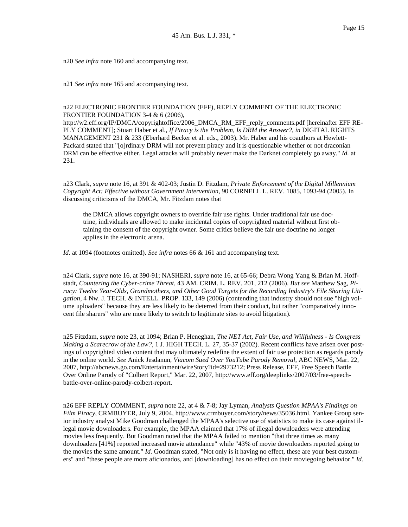n20 *See infra* note 160 and accompanying text.

n21 *See infra* note 165 and accompanying text.

# n22 ELECTRONIC FRONTIER FOUNDATION (EFF), REPLY COMMENT OF THE ELECTRONIC FRONTIER FOUNDATION 3-4 & 6 (2006),

http://w2.eff.org/IP/DMCA/copyrightoffice/2006\_DMCA\_RM\_EFF\_reply\_comments.pdf [hereinafter EFF RE-PLY COMMENT]; Stuart Haber et al., *If Piracy is the Problem, Is DRM the Answer?, in* DIGITAL RIGHTS MANAGEMENT 231 & 233 (Eberhard Becker et al. eds., 2003). Mr. Haber and his coauthors at Hewlett-Packard stated that "[o]rdinary DRM will not prevent piracy and it is questionable whether or not draconian DRM can be effective either. Legal attacks will probably never make the Darknet completely go away." *Id.* at 231.

n23 Clark, *supra* note 16, at 391 & 402-03; Justin D. Fitzdam, *Private Enforcement of the Digital Millennium Copyright Act: Effective without Government Intervention*, 90 CORNELL L. REV. 1085, 1093-94 (2005). In discussing criticisms of the DMCA, Mr. Fitzdam notes that

the DMCA allows copyright owners to override fair use rights. Under traditional fair use doctrine, individuals are allowed to make incidental copies of copyrighted material without first obtaining the consent of the copyright owner. Some critics believe the fair use doctrine no longer applies in the electronic arena.

*Id.* at 1094 (footnotes omitted). *See infra* notes 66 & 161 and accompanying text.

n24 Clark, *supra* note 16, at 390-91; NASHERI, *supra* note 16, at 65-66; Debra Wong Yang & Brian M. Hoffstadt, *Countering the Cyber-crime Threat*, 43 AM. CRIM. L. REV. 201, 212 (2006). *But see* Matthew Sag, *Piracy: Twelve Year-Olds, Grandmothers, and Other Good Targets for the Recording Industry's File Sharing Litigation*, 4 Nw. J. TECH. & INTELL. PROP. 133, 149 (2006) (contending that industry should not sue "high volume uploaders" because they are less likely to be deterred from their conduct, but rather "comparatively innocent file sharers" who are more likely to switch to legitimate sites to avoid litigation).

n25 Fitzdam, *supra* note 23, at 1094; Brian P. Heneghan, *The NET Act, Fair Use, and Willfulness - Is Congress Making a Scarecrow of the Law?*, 1 J. HIGH TECH. L. 27, 35-37 (2002). Recent conflicts have arisen over postings of copyrighted video content that may ultimately redefine the extent of fair use protection as regards parody in the online world. *See* Anick Jesdanun, *Viacom Sued Over YouTube Parody Removal*, ABC NEWS, Mar. 22, 2007, http://abcnews.go.com/Entertainment/wireStory?id=2973212; Press Release, EFF, Free Speech Battle Over Online Parody of "Colbert Report," Mar. 22, 2007, http://www.eff.org/deeplinks/2007/03/free-speechbattle-over-online-parody-colbert-report.

n26 EFF REPLY COMMENT, *supra* note 22, at 4 & 7-8; Jay Lyman, *Analysts Question MPAA's Findings on Film Piracy*, CRMBUYER, July 9, 2004, http://www.crmbuyer.com/story/news/35036.html. Yankee Group senior industry analyst Mike Goodman challenged the MPAA's selective use of statistics to make its case against illegal movie downloaders. For example, the MPAA claimed that 17% of illegal downloaders were attending movies less frequently. But Goodman noted that the MPAA failed to mention "that three times as many downloaders [41%] reported increased movie attendance" while "43% of movie downloaders reported going to the movies the same amount." *Id.* Goodman stated, "Not only is it having no effect, these are your best customers" and "these people are more aficionados, and [downloading] has no effect on their moviegoing behavior." *Id.*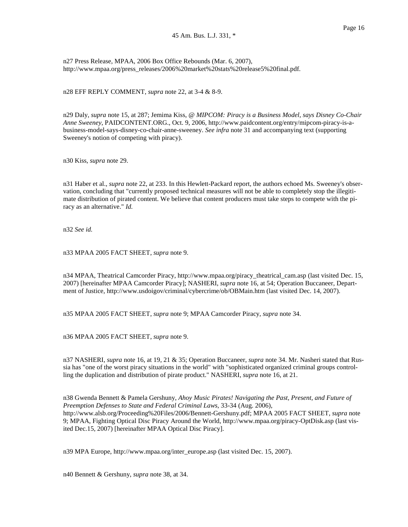n27 Press Release, MPAA, 2006 Box Office Rebounds (Mar. 6, 2007), http://www.mpaa.org/press\_releases/2006%20market%20stats%20release5%20final.pdf.

n28 EFF REPLY COMMENT, *supra* note 22, at 3-4 & 8-9.

n29 Daly, *supra* note 15, at 287; Jemima Kiss, @ *MIPCOM: Piracy is a Business Model, says Disney Co-Chair Anne Sweeney*, PAIDCONTENT.ORG., Oct. 9, 2006, http://www.paidcontent.org/entry/mipcom-piracy-is-abusiness-model-says-disney-co-chair-anne-sweeney. *See infra* note 31 and accompanying text (supporting Sweeney's notion of competing with piracy).

n30 Kiss, *supra* note 29.

n31 Haber et al., *supra* note 22, at 233. In this Hewlett-Packard report, the authors echoed Ms. Sweeney's observation, concluding that "currently proposed technical measures will not be able to completely stop the illegitimate distribution of pirated content. We believe that content producers must take steps to compete with the piracy as an alternative." *Id.*

n32 *See id.*

n33 MPAA 2005 FACT SHEET, *supra* note 9.

n34 MPAA, Theatrical Camcorder Piracy, http://www.mpaa.org/piracy\_theatrical\_cam.asp (last visited Dec. 15, 2007) [hereinafter MPAA Camcorder Piracy]; NASHERI, *supra* note 16, at 54; Operation Buccaneer, Department of Justice, http://www.usdoigov/criminal/cybercrime/ob/OBMain.htm (last visited Dec. 14, 2007).

n35 MPAA 2005 FACT SHEET, *supra* note 9; MPAA Camcorder Piracy, *supra* note 34.

n36 MPAA 2005 FACT SHEET, *supra* note 9.

n37 NASHERI, *supra* note 16, at 19, 21 & 35; Operation Buccaneer, *supra* note 34. Mr. Nasheri stated that Russia has "one of the worst piracy situations in the world" with "sophisticated organized criminal groups controlling the duplication and distribution of pirate product." NASHERI, *supra* note 16, at 21.

n38 Gwenda Bennett & Pamela Gershuny, *Ahoy Music Pirates! Navigating the Past, Present, and Future of Preemption Defenses to State and Federal Criminal Laws*, 33-34 (Aug. 2006), http://www.alsb.org/Proceeding%20Files/2006/Bennett-Gershuny.pdf; MPAA 2005 FACT SHEET, *supra* note 9; MPAA, Fighting Optical Disc Piracy Around the World, http://www.mpaa.org/piracy-OptDisk.asp (last visited Dec.15, 2007) [hereinafter MPAA Optical Disc Piracy].

n39 MPA Europe, http://www.mpaa.org/inter\_europe.asp (last visited Dec. 15, 2007).

n40 Bennett & Gershuny, *supra* note 38, at 34.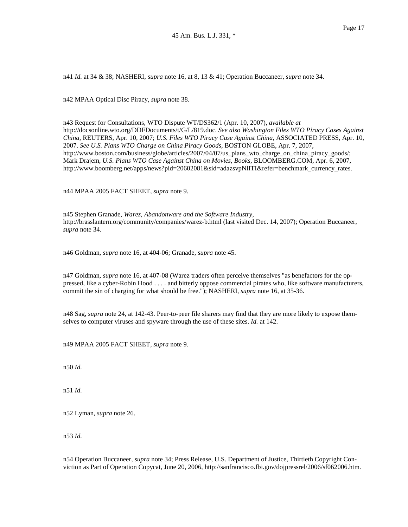n41 *Id.* at 34 & 38; NASHERI, *supra* note 16, at 8, 13 & 41; Operation Buccaneer, *supra* note 34.

n42 MPAA Optical Disc Piracy, *supra* note 38.

n43 Request for Consultations, WTO Dispute WT/DS362/1 (Apr. 10, 2007), *available at* http://docsonline.wto.org/DDFDocuments/t/G/L/819.doc. *See also Washington Files WTO Piracy Cases Against China*, REUTERS, Apr. 10, 2007; *U.S. Files WTO Piracy Case Against China*, ASSOCIATED PRESS, Apr. 10, 2007. *See U.S. Plans WTO Charge on China Piracy Goods*, BOSTON GLOBE, Apr. 7, 2007, http://www.boston.com/business/globe/articles/2007/04/07/us\_plans\_wto\_charge\_on\_china\_piracy\_goods/; Mark Drajem, *U.S. Plans WTO Case Against China on Movies, Books*, BLOOMBERG.COM, Apr. 6, 2007, http://www.boomberg.net/apps/news?pid=20602081&sid=adazsvpNlITI&refer=benchmark\_currency\_rates.

n44 MPAA 2005 FACT SHEET, *supra* note 9.

n45 Stephen Granade, *Warez, Abandonware and the Software Industry*, http://brasslantern.org/community/companies/warez-b.html (last visited Dec. 14, 2007); Operation Buccaneer, *supra* note 34.

n46 Goldman, *supra* note 16, at 404-06; Granade, *supra* note 45.

n47 Goldman, *supra* note 16, at 407-08 (Warez traders often perceive themselves "as benefactors for the oppressed, like a cyber-Robin Hood . . . . and bitterly oppose commercial pirates who, like software manufacturers, commit the sin of charging for what should be free."); NASHERI, *supra* note 16, at 35-36.

n48 Sag, *supra* note 24, at 142-43. Peer-to-peer file sharers may find that they are more likely to expose themselves to computer viruses and spyware through the use of these sites. *Id.* at 142.

n49 MPAA 2005 FACT SHEET, *supra* note 9.

n50 *Id.*

n51 *Id.*

n52 Lyman, *supra* note 26.

n53 *Id.*

n54 Operation Buccaneer, *supra* note 34; Press Release, U.S. Department of Justice, Thirtieth Copyright Conviction as Part of Operation Copycat, June 20, 2006, http://sanfrancisco.fbi.gov/dojpressrel/2006/sf062006.htm.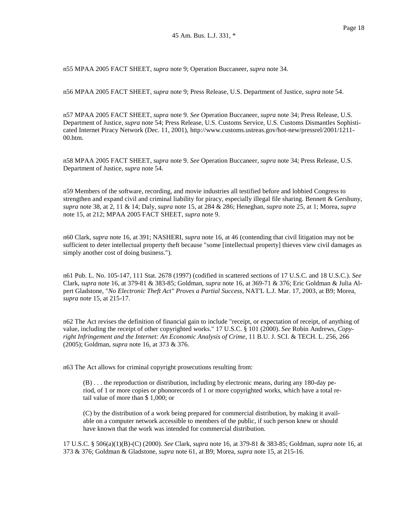n55 MPAA 2005 FACT SHEET, *supra* note 9; Operation Buccaneer, *supra* note 34.

n56 MPAA 2005 FACT SHEET, *supra* note 9; Press Release, U.S. Department of Justice, *supra* note 54.

n57 MPAA 2005 FACT SHEET, *supra* note 9. *See* Operation Buccaneer, *supra* note 34; Press Release, U.S. Department of Justice, *supra* note 54; Press Release, U.S. Customs Service, U.S. Customs Dismantles Sophisticated Internet Piracy Network (Dec. 11, 2001), http://www.customs.ustreas.gov/hot-new/pressrel/2001/1211- 00.htm.

n58 MPAA 2005 FACT SHEET, *supra* note 9. *See* Operation Buccaneer, *supra* note 34; Press Release, U.S. Department of Justice, *supra* note 54.

n59 Members of the software, recording, and movie industries all testified before and lobbied Congress to strengthen and expand civil and criminal liability for piracy, especially illegal file sharing. Bennett & Gershuny, *supra* note 38, at 2, 11 & 14; Daly, *supra* note 15, at 284 & 286; Heneghan, *supra* note 25, at 1; Morea, *supra* note 15, at 212; MPAA 2005 FACT SHEET, *supra* note 9.

n60 Clark, *supra* note 16, at 391; NASHERI, *supra* note 16, at 46 (contending that civil litigation may not be sufficient to deter intellectual property theft because "some [intellectual property] thieves view civil damages as simply another cost of doing business.").

n61 Pub. L. No. 105-147, 111 Stat. 2678 (1997) (codified in scattered sections of 17 U.S.C. and 18 U.S.C.). *See* Clark, *supra* note 16, at 379-81 & 383-85; Goldman, *supra* note 16, at 369-71 & 376; Eric Goldman & Julia Alpert Gladstone, "*No Electronic Theft Act" Proves a Partial Success*, NAT'L L.J. Mar. 17, 2003, at B9; Morea, *supra* note 15, at 215-17.

n62 The Act revises the definition of financial gain to include "receipt, or expectation of receipt, of anything of value, including the receipt of other copyrighted works." 17 U.S.C. § 101 (2000). *See* Robin Andrews, *Copyright Infringement and the Internet: An Economic Analysis of Crime*, 11 B.U. J. SCI. & TECH. L. 256, 266 (2005); Goldman, *supra* note 16, at 373 & 376.

n63 The Act allows for criminal copyright prosecutions resulting from:

(B) . . . the reproduction or distribution, including by electronic means, during any 180-day period, of 1 or more copies or phonorecords of 1 or more copyrighted works, which have a total retail value of more than \$ 1,000; or

(C) by the distribution of a work being prepared for commercial distribution, by making it available on a computer network accessible to members of the public, if such person knew or should have known that the work was intended for commercial distribution.

17 U.S.C. § 506(a)(1)(B)-(C) (2000). *See* Clark, *supra* note 16, at 379-81 & 383-85; Goldman, *supra* note 16, at 373 & 376; Goldman & Gladstone, *supra* note 61, at B9; Morea, *supra* note 15, at 215-16.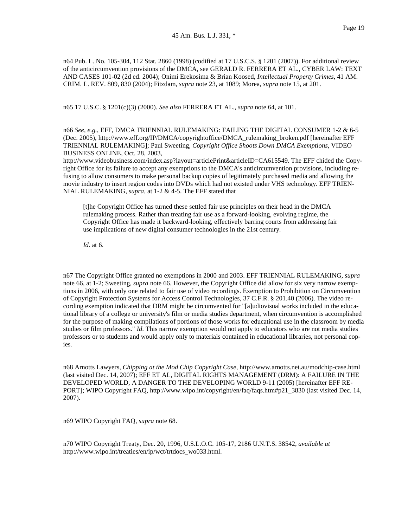n64 Pub. L. No. 105-304, 112 Stat. 2860 (1998) (codified at 17 U.S.C.S. § 1201 (2007)). For additional review of the anticircumvention provisions of the DMCA, see GERALD R. FERRERA ET AL., CYBER LAW: TEXT AND CASES 101-02 (2d ed. 2004); Onimi Erekosima & Brian Koosed, *Intellectual Property Crimes*, 41 AM. CRIM. L. REV. 809, 830 (2004); Fitzdam, *supra* note 23, at 1089; Morea, *supra* note 15, at 201.

n65 17 U.S.C. § 1201(c)(3) (2000). *See also* FERRERA ET AL., *supra* note 64, at 101.

n66 *See, e.g.*, EFF, DMCA TRIENNIAL RULEMAKING: FAILING THE DIGITAL CONSUMER 1-2 & 6-5 (Dec. 2005), http://www.eff.org/IP/DMCA/copyrightoffice/DMCA\_rulemaking\_broken.pdf [hereinafter EFF TRIENNIAL RULEMAKING]; Paul Sweeting, *Copyright Office Shoots Down DMCA Exemptions*, VIDEO BUSINESS ONLINE, Oct. 28, 2003,

http://www.videobusiness.com/index.asp?layout=articlePrint&articleID=CA615549. The EFF chided the Copyright Office for its failure to accept any exemptions to the DMCA's anticircumvention provisions, including refusing to allow consumers to make personal backup copies of legitimately purchased media and allowing the movie industry to insert region codes into DVDs which had not existed under VHS technology. EFF TRIEN-NIAL RULEMAKING, *supra*, at 1-2 & 4-5. The EFF stated that

[t]he Copyright Office has turned these settled fair use principles on their head in the DMCA rulemaking process. Rather than treating fair use as a forward-looking, evolving regime, the Copyright Office has made it backward-looking, effectively barring courts from addressing fair use implications of new digital consumer technologies in the 21st century.

*Id.* at 6.

n67 The Copyright Office granted no exemptions in 2000 and 2003. EFF TRIENNIAL RULEMAKING, *supra* note 66, at 1-2; Sweeting, *supra* note 66. However, the Copyright Office did allow for six very narrow exemptions in 2006, with only one related to fair use of video recordings. Exemption to Prohibition on Circumvention of Copyright Protection Systems for Access Control Technologies, 37 C.F.R. § 201.40 (2006). The video recording exemption indicated that DRM might be circumvented for "[a]udiovisual works included in the educational library of a college or university's film or media studies department, when circumvention is accomplished for the purpose of making compilations of portions of those works for educational use in the classroom by media studies or film professors." *Id.* This narrow exemption would not apply to educators who are not media studies professors or to students and would apply only to materials contained in educational libraries, not personal copies.

n68 Arnotts Lawyers, *Chipping at the Mod Chip Copyright Case*, http://www.arnotts.net.au/modchip-case.html (last visited Dec. 14, 2007); EFF ET AL, DIGITAL RIGHTS MANAGEMENT (DRM): A FAILURE IN THE DEVELOPED WORLD, A DANGER TO THE DEVELOPING WORLD 9-11 (2005) [hereinafter EFF RE-PORT]; WIPO Copyright FAQ, http://www.wipo.int/copyright/en/faq/faqs.htm#p21\_3830 (last visited Dec. 14, 2007).

n69 WIPO Copyright FAQ, *supra* note 68.

n70 WIPO Copyright Treaty, Dec. 20, 1996, U.S.L.O.C. 105-17, 2186 U.N.T.S. 38542, *available at* http://www.wipo.int/treaties/en/ip/wct/trtdocs\_wo033.html.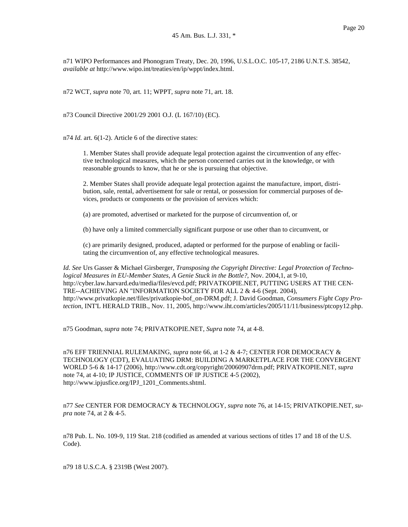n71 WIPO Performances and Phonogram Treaty, Dec. 20, 1996, U.S.L.O.C. 105-17, 2186 U.N.T.S. 38542, *available at* http://www.wipo.int/treaties/en/ip/wppt/index.html.

n72 WCT, *supra* note 70, art. 11; WPPT, *supra* note 71, art. 18.

n73 Council Directive 2001/29 2001 O.J. (L 167/10) (EC).

n74 *Id.* art. 6(1-2). Article 6 of the directive states:

1. Member States shall provide adequate legal protection against the circumvention of any effective technological measures, which the person concerned carries out in the knowledge, or with reasonable grounds to know, that he or she is pursuing that objective.

2. Member States shall provide adequate legal protection against the manufacture, import, distribution, sale, rental, advertisement for sale or rental, or possession for commercial purposes of devices, products or components or the provision of services which:

(a) are promoted, advertised or marketed for the purpose of circumvention of, or

(b) have only a limited commercially significant purpose or use other than to circumvent, or

(c) are primarily designed, produced, adapted or performed for the purpose of enabling or facilitating the circumvention of, any effective technological measures.

*Id. See* Urs Gasser & Michael Girsberger, *Transposing the Copyright Directive: Legal Protection of Technological Measures in EU-Member States, A Genie Stuck in the Bottle?*, Nov. 2004,1, at 9-10, http://cyber.law.harvard.edu/media/files/evcd.pdf; PRIVATKOPIE.NET, PUTTING USERS AT THE CEN-TRE--ACHIEVING AN "INFORMATION SOCIETY FOR ALL 2 & 4-6 (Sept. 2004), http://www.privatkopie.net/files/privatkopie-bof\_on-DRM.pdf; J. David Goodman, *Consumers Fight Copy Protection*, INT'L HERALD TRIB., Nov. 11, 2005, http://www.iht.com/articles/2005/11/11/business/ptcopy12.php.

n75 Goodman, *supra* note 74; PRIVATKOPIE.NET, *Supra* note 74, at 4-8.

n76 EFF TRIENNIAL RULEMAKING, *supra* note 66, at 1-2 & 4-7; CENTER FOR DEMOCRACY & TECHNOLOGY (CDT), EVALUATING DRM: BUILDING A MARKETPLACE FOR THE CONVERGENT WORLD 5-6 & 14-17 (2006), http://www.cdt.org/copyright/20060907drm.pdf; PRIVATKOPIE.NET, *supra* note 74, at 4-10; IP JUSTICE, COMMENTS OF IP JUSTICE 4-5 (2002), http://www.ipjusfice.org/IPJ\_1201\_Comments.shtml.

n77 *See* CENTER FOR DEMOCRACY & TECHNOLOGY, *supra* note 76, at 14-15; PRIVATKOPIE.NET, *supra* note 74, at 2 & 4-5.

n78 Pub. L. No. 109-9, 119 Stat. 218 (codified as amended at various sections of titles 17 and 18 of the U.S. Code).

n79 18 U.S.C.A. § 2319B (West 2007).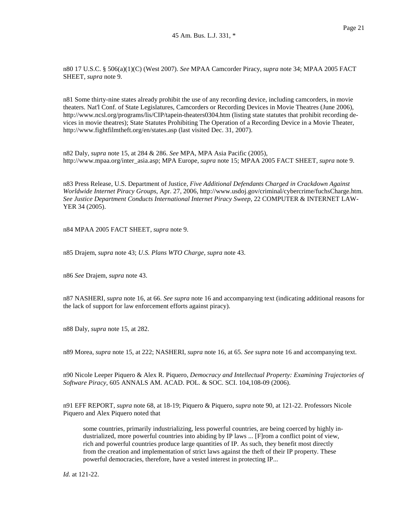n80 17 U.S.C. § 506(a)(1)(C) (West 2007). *See* MPAA Camcorder Piracy, *supra* note 34; MPAA 2005 FACT SHEET, *supra* note 9.

n81 Some thirty-nine states already prohibit the use of any recording device, including camcorders, in movie theaters. Nat'l Conf. of State Legislatures, Camcorders or Recording Devices in Movie Theatres (June 2006), http://www.ncsl.org/programs/lis/CIP/tapein-theaters0304.htm (listing state statutes that prohibit recording devices in movie theatres); State Statutes Prohibiting The Operation of a Recording Device in a Movie Theater, http://www.fightfilmtheft.org/en/states.asp (last visited Dec. 31, 2007).

n82 Daly, *supra* note 15, at 284 & 286. *See* MPA, MPA Asia Pacific (2005), http://www.mpaa.org/inter\_asia.asp; MPA Europe, *supra* note 15; MPAA 2005 FACT SHEET, *supra* note 9.

n83 Press Release, U.S. Department of Justice, *Five Additional Defendants Charged in Crackdown Against Worldwide Internet Piracy Groups*, Apr. 27, 2006, http://www.usdoj.gov/criminal/cybercrime/fuchsCharge.htm. *See Justice Department Conducts International Internet Piracy Sweep*, 22 COMPUTER & INTERNET LAW-YER 34 (2005).

n84 MPAA 2005 FACT SHEET, *supra* note 9.

n85 Drajem, *supra* note 43; *U.S. Plans WTO Charge, supra* note 43.

n86 *See* Drajem, *supra* note 43.

n87 NASHERI, *supra* note 16, at 66. *See supra* note 16 and accompanying text (indicating additional reasons for the lack of support for law enforcement efforts against piracy).

n88 Daly, *supra* note 15, at 282.

n89 Morea, *supra* note 15, at 222; NASHERI, *supra* note 16, at 65. *See supra* note 16 and accompanying text.

n90 Nicole Leeper Piquero & Alex R. Piquero, *Democracy and Intellectual Property: Examining Trajectories of Software Piracy*, 605 ANNALS AM. ACAD. POL. & SOC. SCI. 104,108-09 (2006).

n91 EFF REPORT, *supra* note 68, at 18-19; Piquero & Piquero, *supra* note 90, at 121-22. Professors Nicole Piquero and Alex Piquero noted that

some countries, primarily industrializing, less powerful countries, are being coerced by highly industrialized, more powerful countries into abiding by IP laws ... [F]rom a conflict point of view, rich and powerful countries produce large quantities of IP. As such, they benefit most directly from the creation and implementation of strict laws against the theft of their IP property. These powerful democracies, therefore, have a vested interest in protecting IP...

*Id.* at 121-22.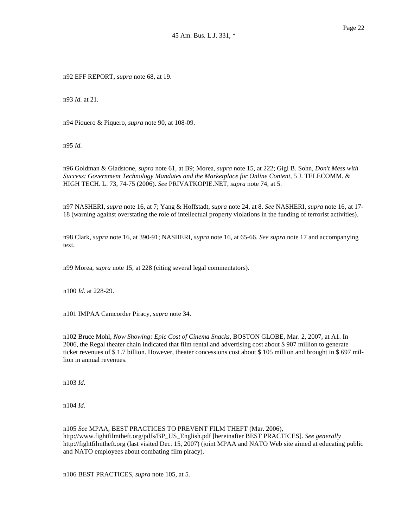n92 EFF REPORT, *supra* note 68, at 19.

n93 *Id.* at 21.

n94 Piquero & Piquero, *supra* note 90, at 108-09.

n95 *Id.*

n96 Goldman & Gladstone, *supra* note 61, at B9; Morea, *supra* note 15, at 222; Gigi B. Sohn, *Don't Mess with Success: Government Technology Mandates and the Marketplace for Online Content*, 5 J. TELECOMM. & HIGH TECH. L. 73, 74-75 (2006). *See* PRIVATKOPIE.NET, *supra* note 74, at 5.

n97 NASHERI, *supra* note 16, at 7; Yang & Hoffstadt, *supra* note 24, at 8. *See* NASHERI, *supra* note 16, at 17- 18 (warning against overstating the role of intellectual property violations in the funding of terrorist activities).

n98 Clark, *supra* note 16, at 390-91; NASHERI, *supra* note 16, at 65-66. *See supra* note 17 and accompanying text.

n99 Morea, *supra* note 15, at 228 (citing several legal commentators).

n100 *Id.* at 228-29.

n101 IMPAA Camcorder Piracy, *supra* note 34.

n102 Bruce Mohl, *Now Showing: Epic Cost of Cinema Snacks*, BOSTON GLOBE, Mar. 2, 2007, at A1. In 2006, the Regal theater chain indicated that film rental and advertising cost about \$ 907 million to generate ticket revenues of \$1.7 billion. However, theater concessions cost about \$105 million and brought in \$697 million in annual revenues.

n103 *Id.*

n104 *Id.*

n105 *See* MPAA, BEST PRACTICES TO PREVENT FILM THEFT (Mar. 2006), http://www.fightfilmtheft.org/pdfs/BP\_US\_English.pdf [hereinafter BEST PRACTICES]. *See generally* http://fightfilmtheft.org (last visited Dec. 15, 2007) (joint MPAA and NATO Web site aimed at educating public and NATO employees about combating film piracy).

n106 BEST PRACTICES, *supra* note 105, at 5.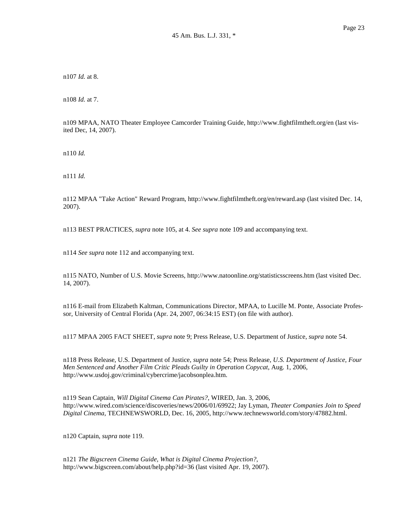n107 *Id.* at 8.

n108 *Id.* at 7.

n109 MPAA, NATO Theater Employee Camcorder Training Guide, http://www.fightfilmtheft.org/en (last visited Dec, 14, 2007).

n110 *Id.*

n111 *Id.*

n112 MPAA "Take Action" Reward Program, http://www.fightfilmtheft.org/en/reward.asp (last visited Dec. 14, 2007).

n113 BEST PRACTICES, *supra* note 105, at 4. *See supra* note 109 and accompanying text.

n114 *See supra* note 112 and accompanying text.

n115 NATO, Number of U.S. Movie Screens, http://www.natoonline.org/statisticsscreens.htm (last visited Dec. 14, 2007).

n116 E-mail from Elizabeth Kaltman, Communications Director, MPAA, to Lucille M. Ponte, Associate Professor, University of Central Florida (Apr. 24, 2007, 06:34:15 EST) (on file with author).

n117 MPAA 2005 FACT SHEET, *supra* note 9; Press Release, U.S. Department of Justice, *supra* note 54.

n118 Press Release, U.S. Department of Justice, *supra* note 54; Press Release, *U.S. Department of Justice, Four Men Sentenced and Another Film Critic Pleads Guilty in Operation Copycat*, Aug. 1, 2006, http://www.usdoj.gov/criminal/cybercrime/jacobsonplea.htm.

n119 Sean Captain, *Will Digital Cinema Can Pirates?*, WIRED, Jan. 3, 2006, http://www.wired.com/science/discoveries/news/2006/01/69922; Jay Lyman, *Theater Companies Join to Speed Digital Cinema*, TECHNEWSWORLD, Dec. 16, 2005, http://www.technewsworld.com/story/47882.html.

n120 Captain, *supra* note 119.

n121 *The Bigscreen Cinema Guide, What is Digital Cinema Projection?*, http://www.bigscreen.com/about/help.php?id=36 (last visited Apr. 19, 2007).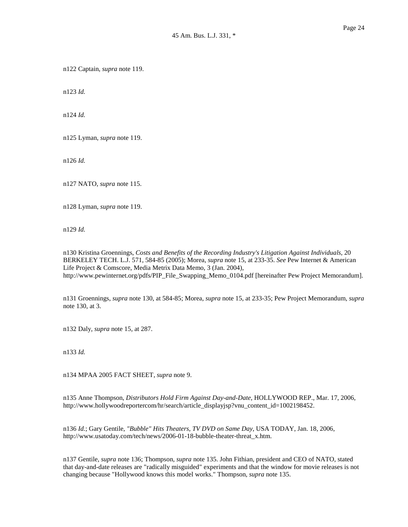n123 *Id.*

n124 *Id.*

n125 Lyman, *supra* note 119.

n126 *Id.*

n127 NATO, *supra* note 115.

n128 Lyman, *supra* note 119.

n129 *Id.*

n130 Kristina Groennings, *Costs and Benefits of the Recording Industry's Litigation Against Individuals*, 20 BERKELEY TECH. L.J. 571, 584-85 (2005); Morea, *supra* note 15, at 233-35. *See* Pew Internet & American Life Project & Comscore, Media Metrix Data Memo, 3 (Jan. 2004), http://www.pewinternet.org/pdfs/PIP\_File\_Swapping\_Memo\_0104.pdf [hereinafter Pew Project Memorandum].

n131 Groennings, *supra* note 130, at 584-85; Morea, *supra* note 15, at 233-35; Pew Project Memorandum, *supra* note 130, at 3.

n132 Daly, *supra* note 15, at 287.

n133 *Id.*

n134 MPAA 2005 FACT SHEET, *supra* note 9.

n135 Anne Thompson, *Distributors Hold Firm Against Day-and-Date*, HOLLYWOOD REP., Mar. 17, 2006, http://www.hollywoodreportercom/hr/search/article\_displayjsp?vnu\_content\_id=1002198452.

n136 *Id.*; Gary Gentile, *"Bubble" Hits Theaters, TV DVD on Same Day*, USA TODAY, Jan. 18, 2006, http://www.usatoday.com/tech/news/2006-01-18-bubble-theater-threat\_x.htm.

n137 Gentile, *supra* note 136; Thompson, *supra* note 135. John Fithian, president and CEO of NATO, stated that day-and-date releases are "radically misguided" experiments and that the window for movie releases is not changing because "Hollywood knows this model works." Thompson, *supra* note 135.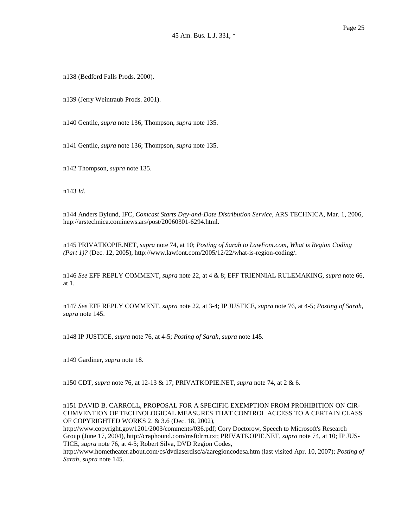n138 (Bedford Falls Prods. 2000).

n139 (Jerry Weintraub Prods. 2001).

n140 Gentile, *supra* note 136; Thompson, *supra* note 135.

n141 Gentile, *supra* note 136; Thompson, *supra* note 135.

n142 Thompson, *supra* note 135.

n143 *Id.*

n144 Anders Bylund, IFC, *Comcast Starts Day-and-Date Distribution Service*, ARS TECHNICA, Mar. 1, 2006, hup://arstechnica.cominews.ars/post/20060301-6294.html.

n145 PRIVATKOPIE.NET, *supra* note 74, at 10; *Posting of Sarah to LawFont.com, What is Region Coding (Part 1)?* (Dec. 12, 2005), http://www.lawfont.com/2005/12/22/what-is-region-coding/.

n146 *See* EFF REPLY COMMENT, *supra* note 22, at 4 & 8; EFF TRIENNIAL RULEMAKING, *supra* note 66, at 1.

n147 *See* EFF REPLY COMMENT, *supra* note 22, at 3-4; IP JUSTICE, *supra* note 76, at 4-5; *Posting of Sarah, supra* note 145.

n148 IP JUSTICE, *supra* note 76, at 4-5; *Posting of Sarah, supra* note 145.

n149 Gardiner, *supra* note 18.

n150 CDT, *supra* note 76, at 12-13 & 17; PRIVATKOPIE.NET, *supra* note 74, at 2 & 6.

n151 DAVID B. CARROLL, PROPOSAL FOR A SPECIFIC EXEMPTION FROM PROHIBITION ON CIR-CUMVENTION OF TECHNOLOGICAL MEASURES THAT CONTROL ACCESS TO A CERTAIN CLASS OF COPYRIGHTED WORKS 2. & 3.6 (Dec. 18, 2002),

http://www.copyright.gov/1201/2003/comments/036.pdf; Cory Doctorow, Speech to Microsoft's Research Group (June 17, 2004), http://craphound.com/msftdrm.txt; PRIVATKOPIE.NET, *supra* note 74, at 10; IP JUS-TICE, *supra* note 76, at 4-5; Robert Silva, DVD Region Codes,

http://www.hometheater.about.com/cs/dvdlaserdisc/a/aaregioncodesa.htm (last visited Apr. 10, 2007); *Posting of Sarah, supra* note 145.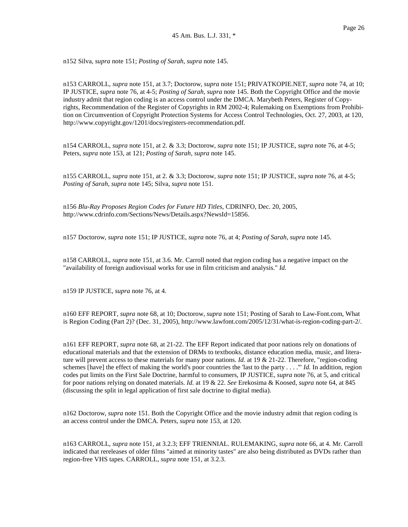n152 Silva, *supra* note 151; *Posting of Sarah, supra* note 145.

n153 CARROLL, *supra* note 151, at 3.7; Doctorow, *supra* note 151; PRIVATKOPIE.NET, *supra* note 74, at 10; IP JUSTICE, *supra* note 76, at 4-5; *Posting of Sarah, supra* note 145. Both the Copyright Office and the movie industry admit that region coding is an access control under the DMCA. Marybeth Peters, Register of Copyrights, Recommendation of the Register of Copyrights in RM 2002-4; Rulemaking on Exemptions from Prohibition on Circumvention of Copyright Protection Systems for Access Control Technologies, Oct. 27, 2003, at 120, http://www.copyright.gov/1201/docs/registers-recommendation.pdf.

n154 CARROLL, *supra* note 151, at 2. & 3.3; Doctorow, *supra* note 151; IP JUSTICE, *supra* note 76, at 4-5; Peters, *supra* note 153, at 121; *Posting of Sarah, supra* note 145.

n155 CARROLL, *supra* note 151, at 2. & 3.3; Doctorow, *supra* note 151; IP JUSTICE, *supra* note 76, at 4-5; *Posting of Sarah, supra* note 145; Silva, *supra* note 151.

n156 *Blu-Ray Proposes Region Codes for Future HD Titles*, CDRINFO, Dec. 20, 2005, http://www.cdrinfo.com/Sections/News/Details.aspx?NewsId=15856.

n157 Doctorow, *supra* note 151; IP JUSTICE, *supra* note 76, at 4; *Posting of Sarah, supra* note 145.

n158 CARROLL, *supra* note 151, at 3.6. Mr. Carroll noted that region coding has a negative impact on the "availability of foreign audiovisual works for use in film criticism and analysis." *Id.*

n159 IP JUSTICE, *supra* note 76, at 4.

n160 EFF REPORT, *supra* note 68, at 10; Doctorow, *supra* note 151; Posting of Sarah to Law-Font.com, What is Region Coding (Part 2)? (Dec. 31, 2005), http://www.lawfont.com/2005/12/31/what-is-region-coding-part-2/.

n161 EFF REPORT, *supra* note 68, at 21-22. The EFF Report indicated that poor nations rely on donations of educational materials and that the extension of DRMs to textbooks, distance education media, music, and literature will prevent access to these materials for many poor nations. *Id.* at 19 & 21-22. Therefore, "region-coding schemes [have] the effect of making the world's poor countries the 'last to the party . . . .'" *Id.* In addition, region codes put limits on the First Sale Doctrine, harmful to consumers, IP JUSTICE, *supra* note 76, at 5, and critical for poor nations relying on donated materials. *Id.* at 19 & 22. *See* Erekosima & Koosed, *supra* note 64, at 845 (discussing the split in legal application of first sale doctrine to digital media).

n162 Doctorow, *supra* note 151. Both the Copyright Office and the movie industry admit that region coding is an access control under the DMCA. Peters, *supra* note 153, at 120.

n163 CARROLL, *supra* note 151, at 3.2.3; EFF TRIENNIAL. RULEMAKING, *supra* note 66, at 4. Mr. Carroll indicated that rereleases of older films "aimed at minority tastes" are also being distributed as DVDs rather than region-free VHS tapes. CARROLL, *supra* note 151, at 3.2.3.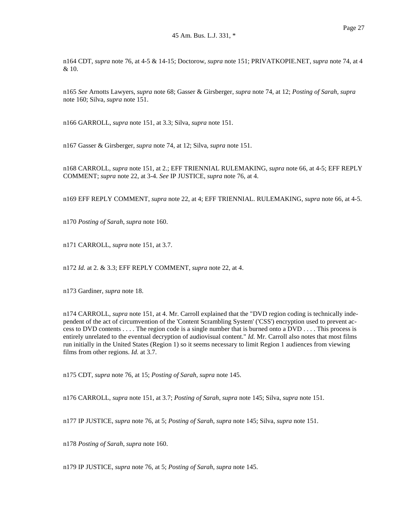n164 CDT, *supra* note 76, at 4-5 & 14-15; Doctorow, *supra* note 151; PRIVATKOPIE.NET, *supra* note 74, at 4 & 10.

n165 *See* Arnotts Lawyers, *supra* note 68; Gasser & Girsberger, *supra* note 74, at 12; *Posting of Sarah, supra* note 160; Silva, *supra* note 151.

n166 GARROLL, *supra* note 151, at 3.3; Silva, *supra* note 151.

n167 Gasser & Girsberger, *supra* note 74, at 12; Silva, *supra* note 151.

n168 CARROLL, *supra* note 151, at 2.; EFF TRIENNIAL RULEMAKING, *supra* note 66, at 4-5; EFF REPLY COMMENT; *supra* note 22, at 3-4. *See* IP JUSTICE, *supra* note 76, at 4.

n169 EFF REPLY COMMENT, *supra* note 22, at 4; EFF TRIENNIAL. RULEMAKING, *supra* note 66, at 4-5.

n170 *Posting of Sarah, supra* note 160.

n171 CARROLL, *supra* note 151, at 3.7.

n172 *Id.* at 2. & 3.3; EFF REPLY COMMENT, *supra* note 22, at 4.

n173 Gardiner, *supra* note 18.

n174 CARROLL, *supra* note 151, at 4. Mr. Carroll explained that the "DVD region coding is technically independent of the act of circumvention of the 'Content Scrambling System' ('CSS') encryption used to prevent access to DVD contents . . . . The region code is a single number that is burned onto a DVD . . . . This process is entirely unrelated to the eventual decryption of audiovisual content." *Id.* Mr. Carroll also notes that most films run initially in the United States (Region 1) so it seems necessary to limit Region 1 audiences from viewing films from other regions. *Id.* at 3.7.

n175 CDT, *supra* note 76, at 15; *Posting of Sarah, supra* note 145.

n176 CARROLL, *supra* note 151, at 3.7; *Posting of Sarah, supra* note 145; Silva, *supra* note 151.

n177 IP JUSTICE, *supra* note 76, at 5; *Posting of Sarah, supra* note 145; Silva, *supra* note 151.

n178 *Posting of Sarah, supra* note 160.

n179 IP JUSTICE, *supra* note 76, at 5; *Posting of Sarah, supra* note 145.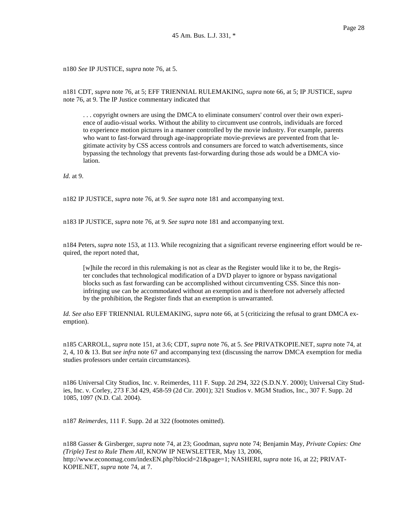n180 *See* IP JUSTICE, *supra* note 76, at 5.

n181 CDT, *supra* note 76, at 5; EFF TRIENNIAL RULEMAKING, *supra* note 66, at 5; IP JUSTICE, *supra* note 76, at 9. The IP Justice commentary indicated that

. . . copyright owners are using the DMCA to eliminate consumers' control over their own experience of audio-visual works. Without the ability to circumvent use controls, individuals are forced to experience motion pictures in a manner controlled by the movie industry. For example, parents who want to fast-forward through age-inappropriate movie-previews are prevented from that legitimate activity by CSS access controls and consumers are forced to watch advertisements, since bypassing the technology that prevents fast-forwarding during those ads would be a DMCA violation.

*Id.* at 9.

n182 IP JUSTICE, *supra* note 76, at 9. *See supra* note 181 and accompanying text.

n183 IP JUSTICE, *supra* note 76, at 9. *See supra* note 181 and accompanying text.

n184 Peters, *supra* note 153, at 113. While recognizing that a significant reverse engineering effort would be required, the report noted that,

[w]hile the record in this rulemaking is not as clear as the Register would like it to be, the Register concludes that technological modification of a DVD player to ignore or bypass navigational blocks such as fast forwarding can be accomplished without circumventing CSS. Since this noninfringing use can be accommodated without an exemption and is therefore not adversely affected by the prohibition, the Register finds that an exemption is unwarranted.

*Id. See also* EFF TRIENNIAL RULEMAKING, *supra* note 66, at 5 (criticizing the refusal to grant DMCA exemption).

n185 CARROLL, *supra* note 151, at 3.6; CDT, *supra* note 76, at 5. *See* PRIVATKOPIE.NET, *supra* note 74, at 2, 4, 10 & 13. But *see infra* note 67 and accompanying text (discussing the narrow DMCA exemption for media studies professors under certain circumstances).

n186 Universal City Studios, Inc. v. Reimerdes, 111 F. Supp. 2d 294, 322 (S.D.N.Y. 2000); Universal City Studies, Inc. v. Corley, 273 F.3d 429, 458-59 (2d Cir. 2001); 321 Studios v. MGM Studios, Inc., 307 F. Supp. 2d 1085, 1097 (N.D. Cal. 2004).

n187 *Reimerdes*, 111 F. Supp. 2d at 322 (footnotes omitted).

n188 Gasser & Girsberger, *supra* note 74, at 23; Goodman, *supra* note 74; Benjamin May, *Private Copies: One (Triple) Test to Rule Them All*, KNOW IP NEWSLETTER, May 13, 2006, http://www.economag.com/indexEN.php?blocid=21&page=1; NASHERI, *supra* note 16, at 22; PRIVAT-KOPIE.NET, *supra* note 74, at 7.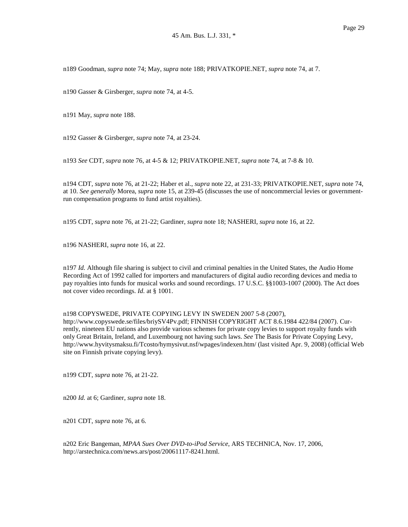n189 Goodman, *supra* note 74; May, *supra* note 188; PRIVATKOPIE.NET, *supra* note 74, at 7.

n190 Gasser & Girsberger, *supra* note 74, at 4-5.

n191 May, *supra* note 188.

n192 Gasser & Girsberger, *supra* note 74, at 23-24.

n193 *See* CDT, *supra* note 76, at 4-5 & 12; PRIVATKOPIE.NET, *supra* note 74, at 7-8 & 10.

n194 CDT, *supra* note 76, at 21-22; Haber et al., *supra* note 22, at 231-33; PRIVATKOPIE.NET, *supra* note 74, at 10. *See generally* Morea, *supra* note 15, at 239-45 (discusses the use of noncommercial levies or governmentrun compensation programs to fund artist royalties).

n195 CDT, *supra* note 76, at 21-22; Gardiner, *supra* note 18; NASHERI, *supra* note 16, at 22.

n196 NASHERI, *supra* note 16, at 22.

n197 *Id.* Although file sharing is subject to civil and criminal penalties in the United States, the Audio Home Recording Act of 1992 called for importers and manufacturers of digital audio recording devices and media to pay royalties into funds for musical works and sound recordings. 17 U.S.C. §§1003-1007 (2000). The Act does not cover video recordings. *Id.* at § 1001.

# n198 COPYSWEDE, PRIVATE COPYING LEVY IN SWEDEN 2007 5-8 (2007),

http://www.copyswede.se/files/briySV4Pv.pdf; FINNISH COPYRIGHT ACT 8.6.1984 422/84 (2007). Currently, nineteen EU nations also provide various schemes for private copy levies to support royalty funds with only Great Britain, Ireland, and Luxembourg not having such laws. *See* The Basis for Private Copying Levy, http://www.hyvitysmaksu.fi/Tcosto/hymysivut.nsf/wpages/indexen.htm/ (last visited Apr. 9, 2008) (official Web site on Finnish private copying levy).

n199 CDT, *supra* note 76, at 21-22.

n200 *Id.* at 6; Gardiner, *supra* note 18.

n201 CDT, *supra* note 76, at 6.

n202 Eric Bangeman, *MPAA Sues Over DVD-to-iPod Service*, ARS TECHNICA, Nov. 17, 2006, http://arstechnica.com/news.ars/post/20061117-8241.html.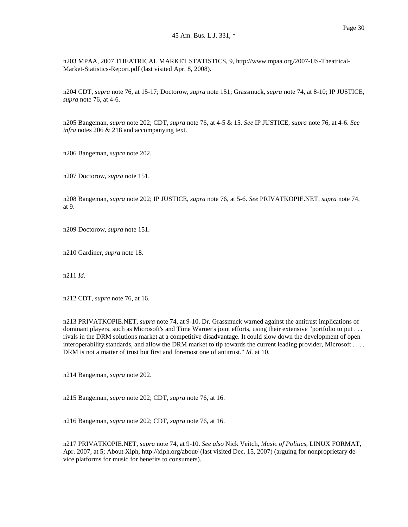n203 MPAA, 2007 THEATRICAL MARKET STATISTICS, 9, http://www.mpaa.org/2007-US-Theatrical-Market-Statistics-Report.pdf (last visited Apr. 8, 2008).

n204 CDT, *supra* note 76, at 15-17; Doctorow, *supra* note 151; Grassmuck, *supra* note 74, at 8-10; IP JUSTICE, *supra* note 76, at 4-6.

n205 Bangeman, *supra* note 202; CDT, *supra* note 76, at 4-5 & 15. *See* IP JUSTICE, *supra* note 76, at 4-6. *See infra* notes 206 & 218 and accompanying text.

n206 Bangeman, *supra* note 202.

n207 Doctorow, *supra* note 151.

n208 Bangeman, *supra* note 202; IP JUSTICE, *supra* note 76, at 5-6. *See* PRIVATKOPIE.NET, *supra* note 74, at 9.

n209 Doctorow, *supra* note 151.

n210 Gardiner, *supra* note 18.

n211 *Id.*

n212 CDT, *supra* note 76, at 16.

n213 PRIVATKOPIE.NET, *supra* note 74, at 9-10. Dr. Grassmuck warned against the antitrust implications of dominant players, such as Microsoft's and Time Warner's joint efforts, using their extensive "portfolio to put . . . rivals in the DRM solutions market at a competitive disadvantage. It could slow down the development of open interoperability standards, and allow the DRM market to tip towards the current leading provider, Microsoft . . . . DRM is not a matter of trust but first and foremost one of antitrust." *Id.* at 10.

n214 Bangeman, *supra* note 202.

n215 Bangeman, *supra* note 202; CDT, *supra* note 76, at 16.

n216 Bangeman, *supra* note 202; CDT, *supra* note 76, at 16.

n217 PRIVATKOPIE.NET, *supra* note 74, at 9-10. *See also* Nick Veitch, *Music of Politics*, LINUX FORMAT, Apr. 2007, at 5; About Xiph, http://xiph.org/about/ (last visited Dec. 15, 2007) (arguing for nonproprietary device platforms for music for benefits to consumers).